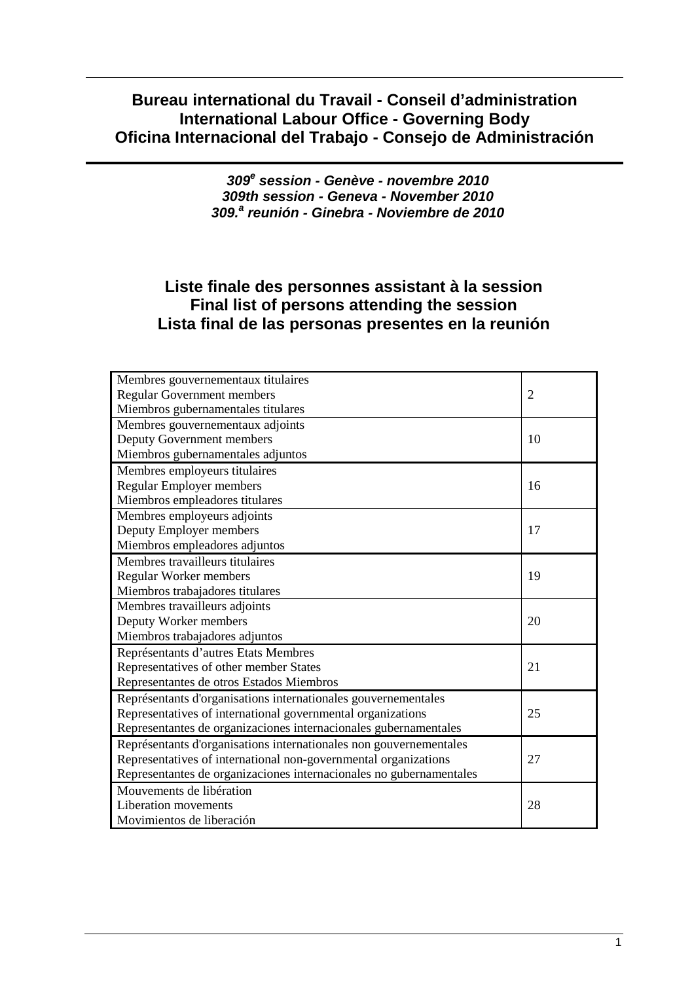# **Bureau international du Travail - Conseil d'administration International Labour Office - Governing Body Oficina Internacional del Trabajo - Consejo de Administración**

**309<sup>e</sup> session - Genève - novembre 2010 309th session - Geneva - November 2010 309.<sup>a</sup> reunión - Ginebra - Noviembre de 2010** 

# **Liste finale des personnes assistant à la session Final list of persons attending the session Lista final de las personas presentes en la reunión**

| Membres gouvernementaux titulaires                                  |                |
|---------------------------------------------------------------------|----------------|
| <b>Regular Government members</b>                                   | $\overline{2}$ |
| Miembros gubernamentales titulares                                  |                |
| Membres gouvernementaux adjoints                                    |                |
| Deputy Government members                                           | 10             |
| Miembros gubernamentales adjuntos                                   |                |
| Membres employeurs titulaires                                       |                |
| <b>Regular Employer members</b>                                     | 16             |
| Miembros empleadores titulares                                      |                |
| Membres employeurs adjoints                                         |                |
| Deputy Employer members                                             | 17             |
| Miembros empleadores adjuntos                                       |                |
| Membres travailleurs titulaires                                     |                |
| Regular Worker members                                              | 19             |
| Miembros trabajadores titulares                                     |                |
| Membres travailleurs adjoints                                       |                |
| Deputy Worker members                                               | 20             |
| Miembros trabajadores adjuntos                                      |                |
| Représentants d'autres Etats Membres                                |                |
| Representatives of other member States                              | 21             |
| Representantes de otros Estados Miembros                            |                |
| Représentants d'organisations internationales gouvernementales      |                |
| Representatives of international governmental organizations         | 25             |
| Representantes de organizaciones internacionales gubernamentales    |                |
| Représentants d'organisations internationales non gouvernementales  |                |
| Representatives of international non-governmental organizations     | 27             |
| Representantes de organizaciones internacionales no gubernamentales |                |
| Mouvements de libération                                            |                |
| Liberation movements                                                | 28             |
| Movimientos de liberación                                           |                |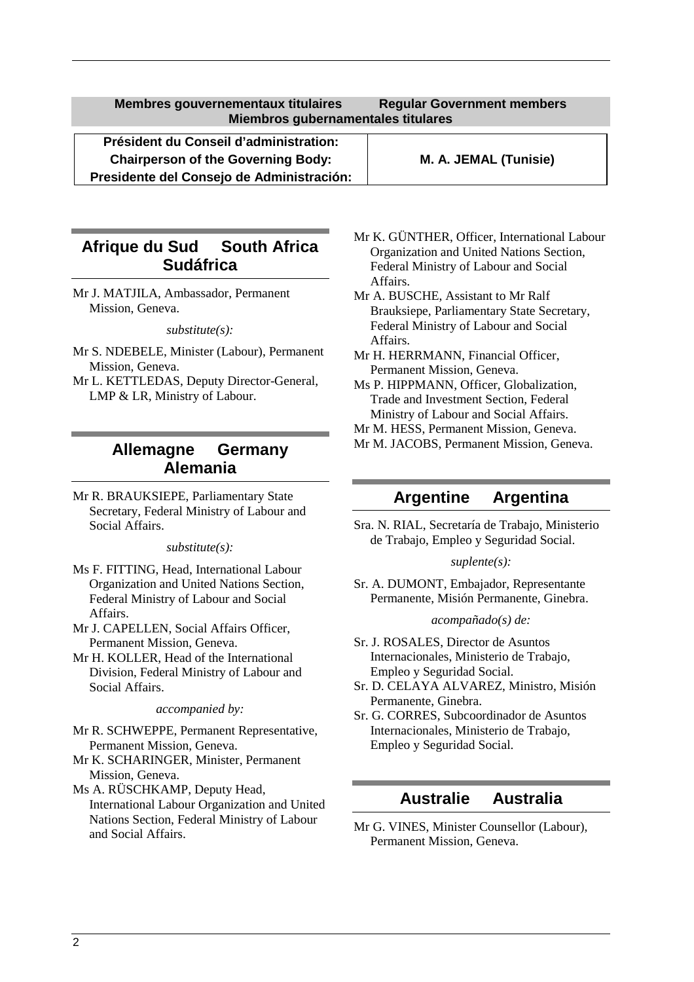**Membres gouvernementaux titulaires Regular Government members Miembros gubernamentales titulares** 

**Président du Conseil d'administration: Chairperson of the Governing Body: M. A. JEMAL (Tunisie) Presidente del Consejo de Administración:**

# **Afrique du Sud South Africa Sudáfrica**

Mr J. MATJILA, Ambassador, Permanent Mission, Geneva.

*substitute(s):* 

- Mr S. NDEBELE, Minister (Labour), Permanent Mission, Geneva.
- Mr L. KETTLEDAS, Deputy Director-General, LMP & LR, Ministry of Labour.

## **Allemagne Germany Alemania**

Mr R. BRAUKSIEPE, Parliamentary State Secretary, Federal Ministry of Labour and Social Affairs.

*substitute(s):* 

- Ms F. FITTING, Head, International Labour Organization and United Nations Section, Federal Ministry of Labour and Social Affairs.
- Mr J. CAPELLEN, Social Affairs Officer, Permanent Mission, Geneva.
- Mr H. KOLLER, Head of the International Division, Federal Ministry of Labour and Social Affairs.

*accompanied by:* 

- Mr R. SCHWEPPE, Permanent Representative, Permanent Mission, Geneva.
- Mr K. SCHARINGER, Minister, Permanent Mission, Geneva.

Ms A. RÜSCHKAMP, Deputy Head, International Labour Organization and United Nations Section, Federal Ministry of Labour and Social Affairs.

- Mr K. GÜNTHER, Officer, International Labour Organization and United Nations Section, Federal Ministry of Labour and Social Affairs.
- Mr A. BUSCHE, Assistant to Mr Ralf Brauksiepe, Parliamentary State Secretary, Federal Ministry of Labour and Social Affairs.
- Mr H. HERRMANN, Financial Officer, Permanent Mission, Geneva.
- Ms P. HIPPMANN, Officer, Globalization, Trade and Investment Section, Federal Ministry of Labour and Social Affairs.
- Mr M. HESS, Permanent Mission, Geneva.
- Mr M. JACOBS, Permanent Mission, Geneva.

### **Argentine Argentina**

Sra. N. RIAL, Secretaría de Trabajo, Ministerio de Trabajo, Empleo y Seguridad Social.

*suplente(s):* 

Sr. A. DUMONT, Embajador, Representante Permanente, Misión Permanente, Ginebra.

*acompañado(s) de:* 

- Sr. J. ROSALES, Director de Asuntos Internacionales, Ministerio de Trabajo, Empleo y Seguridad Social.
- Sr. D. CELAYA ALVAREZ, Ministro, Misión Permanente, Ginebra.
- Sr. G. CORRES, Subcoordinador de Asuntos Internacionales, Ministerio de Trabajo, Empleo y Seguridad Social.

### **Australie Australia**

Mr G. VINES, Minister Counsellor (Labour), Permanent Mission, Geneva.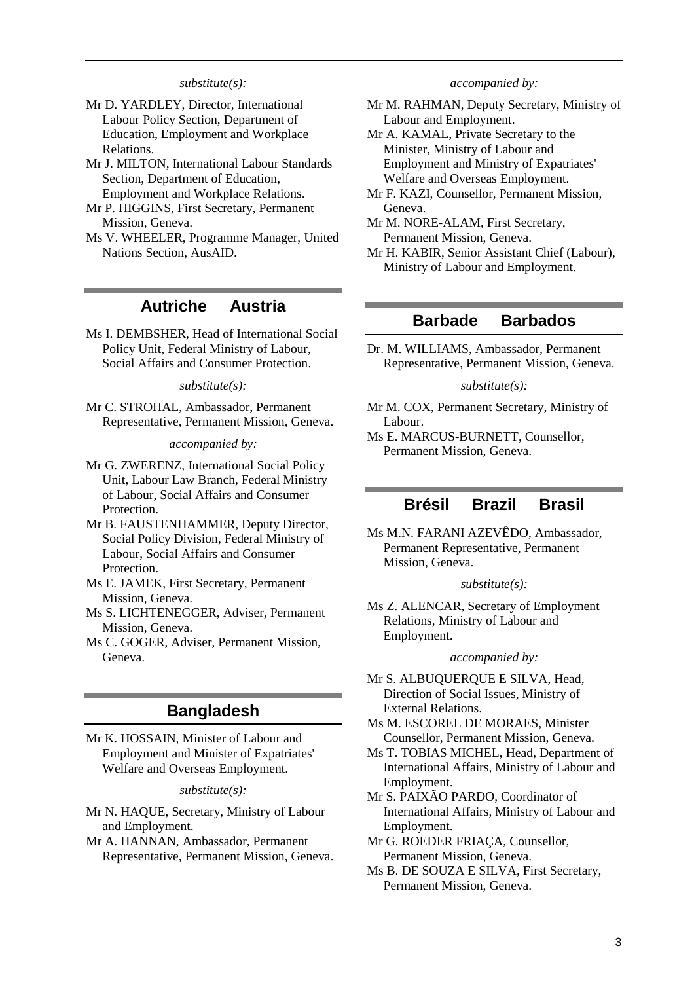#### *substitute(s):*

- Mr D. YARDLEY, Director, International Labour Policy Section, Department of Education, Employment and Workplace Relations.
- Mr J. MILTON, International Labour Standards Section, Department of Education, Employment and Workplace Relations.
- Mr P. HIGGINS, First Secretary, Permanent Mission, Geneva.
- Ms V. WHEELER, Programme Manager, United Nations Section, AusAID.

### **Autriche Austria**

Ms I. DEMBSHER, Head of International Social Policy Unit, Federal Ministry of Labour, Social Affairs and Consumer Protection.

*substitute(s):* 

Mr C. STROHAL, Ambassador, Permanent Representative, Permanent Mission, Geneva.

*accompanied by:* 

- Mr G. ZWERENZ, International Social Policy Unit, Labour Law Branch, Federal Ministry of Labour, Social Affairs and Consumer Protection.
- Mr B. FAUSTENHAMMER, Deputy Director, Social Policy Division, Federal Ministry of Labour, Social Affairs and Consumer Protection.
- Ms E. JAMEK, First Secretary, Permanent Mission, Geneva.
- Ms S. LICHTENEGGER, Adviser, Permanent Mission, Geneva.
- Ms C. GOGER, Adviser, Permanent Mission, Geneva.

### **Bangladesh**

Mr K. HOSSAIN, Minister of Labour and Employment and Minister of Expatriates' Welfare and Overseas Employment.

*substitute(s):* 

- Mr N. HAQUE, Secretary, Ministry of Labour and Employment.
- Mr A. HANNAN, Ambassador, Permanent Representative, Permanent Mission, Geneva.

#### *accompanied by:*

- Mr M. RAHMAN, Deputy Secretary, Ministry of Labour and Employment.
- Mr A. KAMAL, Private Secretary to the Minister, Ministry of Labour and Employment and Ministry of Expatriates' Welfare and Overseas Employment.
- Mr F. KAZI, Counsellor, Permanent Mission, Geneva.
- Mr M. NORE-ALAM, First Secretary, Permanent Mission, Geneva.
- Mr H. KABIR, Senior Assistant Chief (Labour), Ministry of Labour and Employment.

### **Barbade Barbados**

Dr. M. WILLIAMS, Ambassador, Permanent Representative, Permanent Mission, Geneva.

#### *substitute(s):*

- Mr M. COX, Permanent Secretary, Ministry of Labour.
- Ms E. MARCUS-BURNETT, Counsellor, Permanent Mission, Geneva.

### **Brésil Brazil Brasil**

Ms M.N. FARANI AZEVÊDO, Ambassador, Permanent Representative, Permanent Mission, Geneva.

#### *substitute(s):*

Ms Z. ALENCAR, Secretary of Employment Relations, Ministry of Labour and Employment.

#### *accompanied by:*

- Mr S. ALBUQUERQUE E SILVA, Head, Direction of Social Issues, Ministry of External Relations.
- Ms M. ESCOREL DE MORAES, Minister Counsellor, Permanent Mission, Geneva.
- Ms T. TOBIAS MICHEL, Head, Department of International Affairs, Ministry of Labour and Employment.
- Mr S. PAIXÃO PARDO, Coordinator of International Affairs, Ministry of Labour and Employment.
- Mr G. ROEDER FRIAÇA, Counsellor, Permanent Mission, Geneva.
- Ms B. DE SOUZA E SILVA, First Secretary, Permanent Mission, Geneva.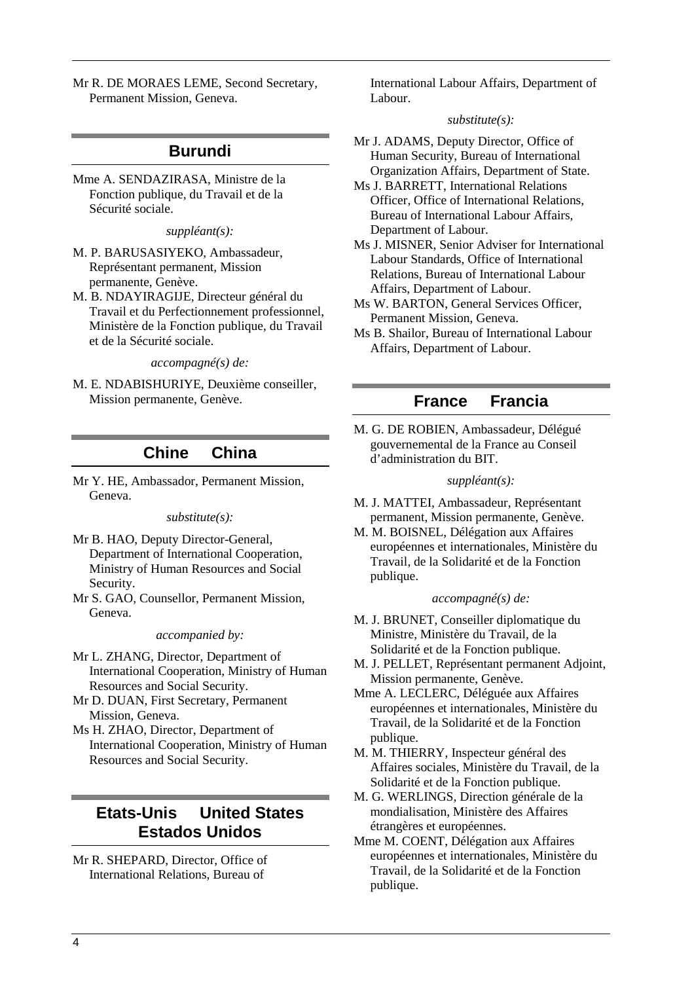Mr R. DE MORAES LEME, Second Secretary, Permanent Mission, Geneva.

### **Burundi**

Mme A. SENDAZIRASA, Ministre de la Fonction publique, du Travail et de la Sécurité sociale.

*suppléant(s):* 

- M. P. BARUSASIYEKO, Ambassadeur, Représentant permanent, Mission permanente, Genève.
- M. B. NDAYIRAGIJE, Directeur général du Travail et du Perfectionnement professionnel, Ministère de la Fonction publique, du Travail et de la Sécurité sociale.

*accompagné(s) de:* 

M. E. NDABISHURIYE, Deuxième conseiller, Mission permanente, Genève.

## **Chine China**

Mr Y. HE, Ambassador, Permanent Mission, Geneva.

#### *substitute(s):*

- Mr B. HAO, Deputy Director-General, Department of International Cooperation, Ministry of Human Resources and Social Security.
- Mr S. GAO, Counsellor, Permanent Mission, Geneva.

#### *accompanied by:*

- Mr L. ZHANG, Director, Department of International Cooperation, Ministry of Human Resources and Social Security.
- Mr D. DUAN, First Secretary, Permanent Mission, Geneva.
- Ms H. ZHAO, Director, Department of International Cooperation, Ministry of Human Resources and Social Security.

# **Etats-Unis United States Estados Unidos**

Mr R. SHEPARD, Director, Office of International Relations, Bureau of

International Labour Affairs, Department of Labour.

#### *substitute(s):*

- Mr J. ADAMS, Deputy Director, Office of Human Security, Bureau of International Organization Affairs, Department of State.
- Ms J. BARRETT, International Relations Officer, Office of International Relations, Bureau of International Labour Affairs, Department of Labour.
- Ms J. MISNER, Senior Adviser for International Labour Standards, Office of International Relations, Bureau of International Labour Affairs, Department of Labour.
- Ms W. BARTON, General Services Officer, Permanent Mission, Geneva.
- Ms B. Shailor, Bureau of International Labour Affairs, Department of Labour.

## **France Francia**

M. G. DE ROBIEN, Ambassadeur, Délégué gouvernemental de la France au Conseil d'administration du BIT.

#### *suppléant(s):*

- M. J. MATTEI, Ambassadeur, Représentant permanent, Mission permanente, Genève.
- M. M. BOISNEL, Délégation aux Affaires européennes et internationales, Ministère du Travail, de la Solidarité et de la Fonction publique.

#### *accompagné(s) de:*

- M. J. BRUNET, Conseiller diplomatique du Ministre, Ministère du Travail, de la Solidarité et de la Fonction publique.
- M. J. PELLET, Représentant permanent Adjoint, Mission permanente, Genève.
- Mme A. LECLERC, Déléguée aux Affaires européennes et internationales, Ministère du Travail, de la Solidarité et de la Fonction publique.
- M. M. THIERRY, Inspecteur général des Affaires sociales, Ministère du Travail, de la Solidarité et de la Fonction publique.
- M. G. WERLINGS, Direction générale de la mondialisation, Ministère des Affaires étrangères et européennes.
- Mme M. COENT, Délégation aux Affaires européennes et internationales, Ministère du Travail, de la Solidarité et de la Fonction publique.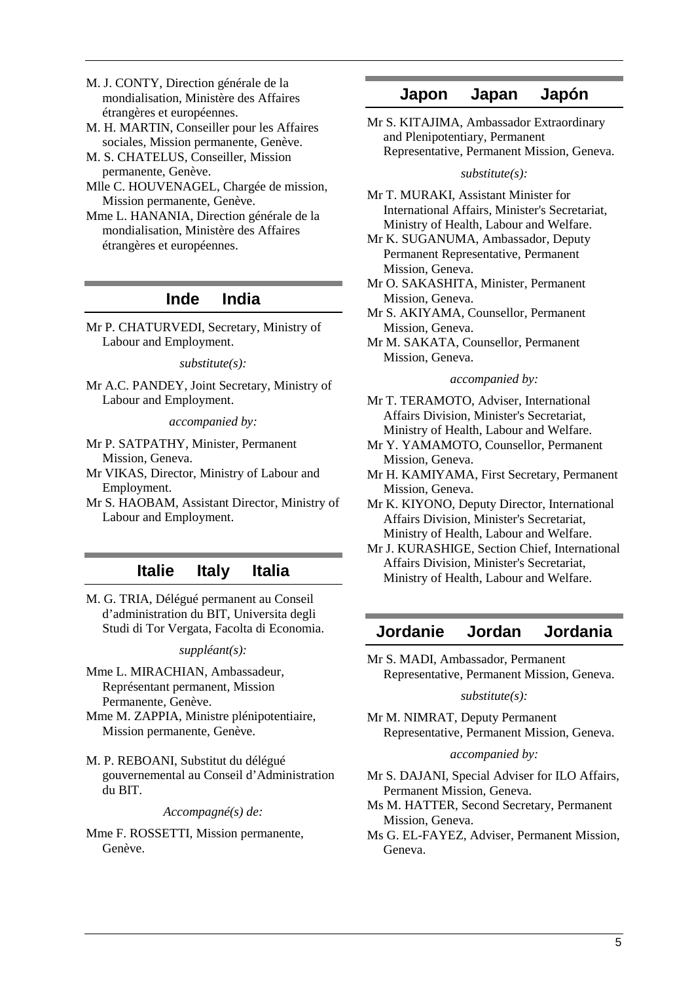- M. J. CONTY, Direction générale de la mondialisation, Ministère des Affaires étrangères et européennes.
- M. H. MARTIN, Conseiller pour les Affaires sociales, Mission permanente, Genève.
- M. S. CHATELUS, Conseiller, Mission permanente, Genève.
- Mlle C. HOUVENAGEL, Chargée de mission, Mission permanente, Genève.
- Mme L. HANANIA, Direction générale de la mondialisation, Ministère des Affaires étrangères et européennes.

## **Inde India**

Mr P. CHATURVEDI, Secretary, Ministry of Labour and Employment.

*substitute(s):* 

Mr A.C. PANDEY, Joint Secretary, Ministry of Labour and Employment.

*accompanied by:* 

- Mr P. SATPATHY, Minister, Permanent Mission, Geneva.
- Mr VIKAS, Director, Ministry of Labour and Employment.
- Mr S. HAOBAM, Assistant Director, Ministry of Labour and Employment.

## **Italie Italy Italia**

M. G. TRIA, Délégué permanent au Conseil d'administration du BIT, Universita degli Studi di Tor Vergata, Facolta di Economia.

*suppléant(s):* 

- Mme L. MIRACHIAN, Ambassadeur, Représentant permanent, Mission Permanente, Genève.
- Mme M. ZAPPIA, Ministre plénipotentiaire, Mission permanente, Genève.
- M. P. REBOANI, Substitut du délégué gouvernemental au Conseil d'Administration du BIT.

#### *Accompagné(s) de:*

Mme F. ROSSETTI, Mission permanente, Genève.

## **Japon Japan Japón**

Mr S. KITAJIMA, Ambassador Extraordinary and Plenipotentiary, Permanent Representative, Permanent Mission, Geneva.

#### *substitute(s):*

Mr T. MURAKI, Assistant Minister for International Affairs, Minister's Secretariat, Ministry of Health, Labour and Welfare.

- Mr K. SUGANUMA, Ambassador, Deputy Permanent Representative, Permanent Mission, Geneva.
- Mr O. SAKASHITA, Minister, Permanent Mission, Geneva.
- Mr S. AKIYAMA, Counsellor, Permanent Mission, Geneva.
- Mr M. SAKATA, Counsellor, Permanent Mission, Geneva.

#### *accompanied by:*

- Mr T. TERAMOTO, Adviser, International Affairs Division, Minister's Secretariat, Ministry of Health, Labour and Welfare.
- Mr Y. YAMAMOTO, Counsellor, Permanent Mission, Geneva.
- Mr H. KAMIYAMA, First Secretary, Permanent Mission, Geneva.
- Mr K. KIYONO, Deputy Director, International Affairs Division, Minister's Secretariat, Ministry of Health, Labour and Welfare.
- Mr J. KURASHIGE, Section Chief, International Affairs Division, Minister's Secretariat, Ministry of Health, Labour and Welfare.

## **Jordanie Jordan Jordania**

Mr S. MADI, Ambassador, Permanent Representative, Permanent Mission, Geneva.

#### *substitute(s):*

Mr M. NIMRAT, Deputy Permanent Representative, Permanent Mission, Geneva.

#### *accompanied by:*

- Mr S. DAJANI, Special Adviser for ILO Affairs, Permanent Mission, Geneva.
- Ms M. HATTER, Second Secretary, Permanent Mission, Geneva.
- Ms G. EL-FAYEZ, Adviser, Permanent Mission, Geneva.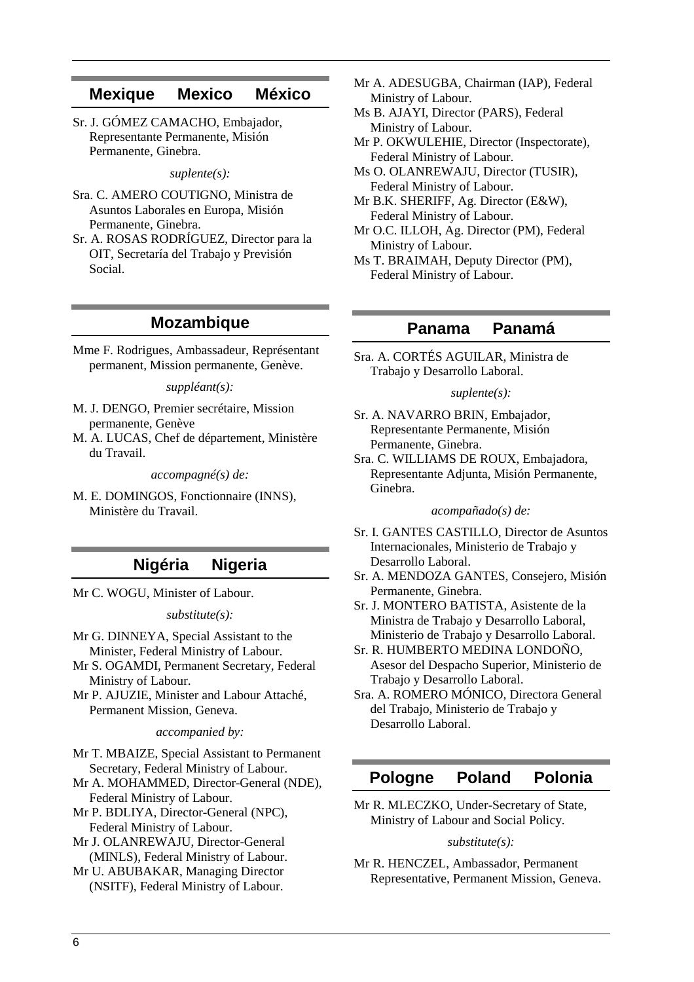### **Mexique Mexico México**

Sr. J. GÓMEZ CAMACHO, Embajador, Representante Permanente, Misión Permanente, Ginebra.

*suplente(s):* 

- Sra. C. AMERO COUTIGNO, Ministra de Asuntos Laborales en Europa, Misión Permanente, Ginebra.
- Sr. A. ROSAS RODRÍGUEZ, Director para la OIT, Secretaría del Trabajo y Previsión Social.

### **Mozambique**

Mme F. Rodrigues, Ambassadeur, Représentant permanent, Mission permanente, Genève.

*suppléant(s):* 

- M. J. DENGO, Premier secrétaire, Mission permanente, Genève
- M. A. LUCAS, Chef de département, Ministère du Travail.

*accompagné(s) de:* 

M. E. DOMINGOS, Fonctionnaire (INNS), Ministère du Travail.

## **Nigéria Nigeria**

Mr C. WOGU, Minister of Labour.

*substitute(s):* 

- Mr G. DINNEYA, Special Assistant to the Minister, Federal Ministry of Labour.
- Mr S. OGAMDI, Permanent Secretary, Federal Ministry of Labour.

Mr P. AJUZIE, Minister and Labour Attaché, Permanent Mission, Geneva.

*accompanied by:* 

Mr T. MBAIZE, Special Assistant to Permanent Secretary, Federal Ministry of Labour.

Mr A. MOHAMMED, Director-General (NDE), Federal Ministry of Labour.

- Mr P. BDLIYA, Director-General (NPC), Federal Ministry of Labour.
- Mr J. OLANREWAJU, Director-General (MINLS), Federal Ministry of Labour.
- Mr U. ABUBAKAR, Managing Director (NSITF), Federal Ministry of Labour.
- Mr A. ADESUGBA, Chairman (IAP), Federal Ministry of Labour.
- Ms B. AJAYI, Director (PARS), Federal Ministry of Labour.
- Mr P. OKWULEHIE, Director (Inspectorate), Federal Ministry of Labour.
- Ms O. OLANREWAJU, Director (TUSIR), Federal Ministry of Labour.

Mr B.K. SHERIFF, Ag. Director (E&W), Federal Ministry of Labour.

Mr O.C. ILLOH, Ag. Director (PM), Federal Ministry of Labour.

Ms T. BRAIMAH, Deputy Director (PM), Federal Ministry of Labour.

## **Panama Panamá**

Sra. A. CORTÉS AGUILAR, Ministra de Trabajo y Desarrollo Laboral.

#### *suplente(s):*

- Sr. A. NAVARRO BRIN, Embajador, Representante Permanente, Misión Permanente, Ginebra.
- Sra. C. WILLIAMS DE ROUX, Embajadora, Representante Adjunta, Misión Permanente, Ginebra.

#### *acompañado(s) de:*

- Sr. I. GANTES CASTILLO, Director de Asuntos Internacionales, Ministerio de Trabajo y Desarrollo Laboral.
- Sr. A. MENDOZA GANTES, Consejero, Misión Permanente, Ginebra.
- Sr. J. MONTERO BATISTA, Asistente de la Ministra de Trabajo y Desarrollo Laboral, Ministerio de Trabajo y Desarrollo Laboral.
- Sr. R. HUMBERTO MEDINA LONDOÑO, Asesor del Despacho Superior, Ministerio de Trabajo y Desarrollo Laboral.
- Sra. A. ROMERO MÓNICO, Directora General del Trabajo, Ministerio de Trabajo y Desarrollo Laboral.

## **Pologne Poland Polonia**

Mr R. MLECZKO, Under-Secretary of State, Ministry of Labour and Social Policy.

#### *substitute(s):*

Mr R. HENCZEL, Ambassador, Permanent Representative, Permanent Mission, Geneva.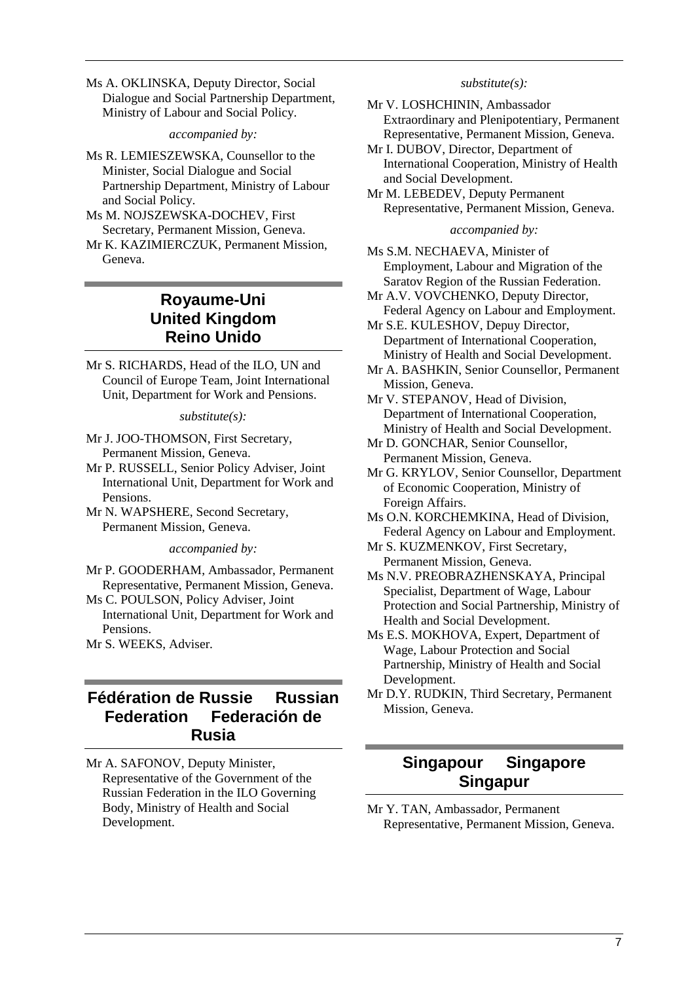Ms A. OKLINSKA, Deputy Director, Social Dialogue and Social Partnership Department, Ministry of Labour and Social Policy.

*accompanied by:* 

- Ms R. LEMIESZEWSKA, Counsellor to the Minister, Social Dialogue and Social Partnership Department, Ministry of Labour and Social Policy.
- Ms M. NOJSZEWSKA-DOCHEV, First Secretary, Permanent Mission, Geneva.
- Mr K. KAZIMIERCZUK, Permanent Mission, Geneva.

# **Royaume-Uni United Kingdom Reino Unido**

Mr S. RICHARDS, Head of the ILO, UN and Council of Europe Team, Joint International Unit, Department for Work and Pensions.

#### *substitute(s):*

- Mr J. JOO-THOMSON, First Secretary, Permanent Mission, Geneva.
- Mr P. RUSSELL, Senior Policy Adviser, Joint International Unit, Department for Work and Pensions.
- Mr N. WAPSHERE, Second Secretary, Permanent Mission, Geneva.

*accompanied by:* 

- Mr P. GOODERHAM, Ambassador, Permanent Representative, Permanent Mission, Geneva.
- Ms C. POULSON, Policy Adviser, Joint International Unit, Department for Work and Pensions.
- Mr S. WEEKS, Adviser.

# **Fédération de Russie Russian Federation Federación de Rusia**

Mr A. SAFONOV, Deputy Minister, Representative of the Government of the Russian Federation in the ILO Governing Body, Ministry of Health and Social Development.

#### *substitute(s):*

- Mr V. LOSHCHININ, Ambassador Extraordinary and Plenipotentiary, Permanent Representative, Permanent Mission, Geneva.
- Mr I. DUBOV, Director, Department of International Cooperation, Ministry of Health and Social Development.
- Mr M. LEBEDEV, Deputy Permanent Representative, Permanent Mission, Geneva.

#### *accompanied by:*

Ms S.M. NECHAEVA, Minister of Employment, Labour and Migration of the Saratov Region of the Russian Federation.

- Mr A.V. VOVCHENKO, Deputy Director, Federal Agency on Labour and Employment.
- Mr S.E. KULESHOV, Depuy Director, Department of International Cooperation, Ministry of Health and Social Development.
- Mr A. BASHKIN, Senior Counsellor, Permanent Mission, Geneva.
- Mr V. STEPANOV, Head of Division, Department of International Cooperation, Ministry of Health and Social Development.
- Mr D. GONCHAR, Senior Counsellor, Permanent Mission, Geneva.
- Mr G. KRYLOV, Senior Counsellor, Department of Economic Cooperation, Ministry of Foreign Affairs.
- Ms O.N. KORCHEMKINA, Head of Division, Federal Agency on Labour and Employment.
- Mr S. KUZMENKOV, First Secretary, Permanent Mission, Geneva.
- Ms N.V. PREOBRAZHENSKAYA, Principal Specialist, Department of Wage, Labour Protection and Social Partnership, Ministry of Health and Social Development.
- Ms E.S. MOKHOVA, Expert, Department of Wage, Labour Protection and Social Partnership, Ministry of Health and Social Development.
- Mr D.Y. RUDKIN, Third Secretary, Permanent Mission, Geneva.

# **Singapour Singapore Singapur**

Mr Y. TAN, Ambassador, Permanent Representative, Permanent Mission, Geneva.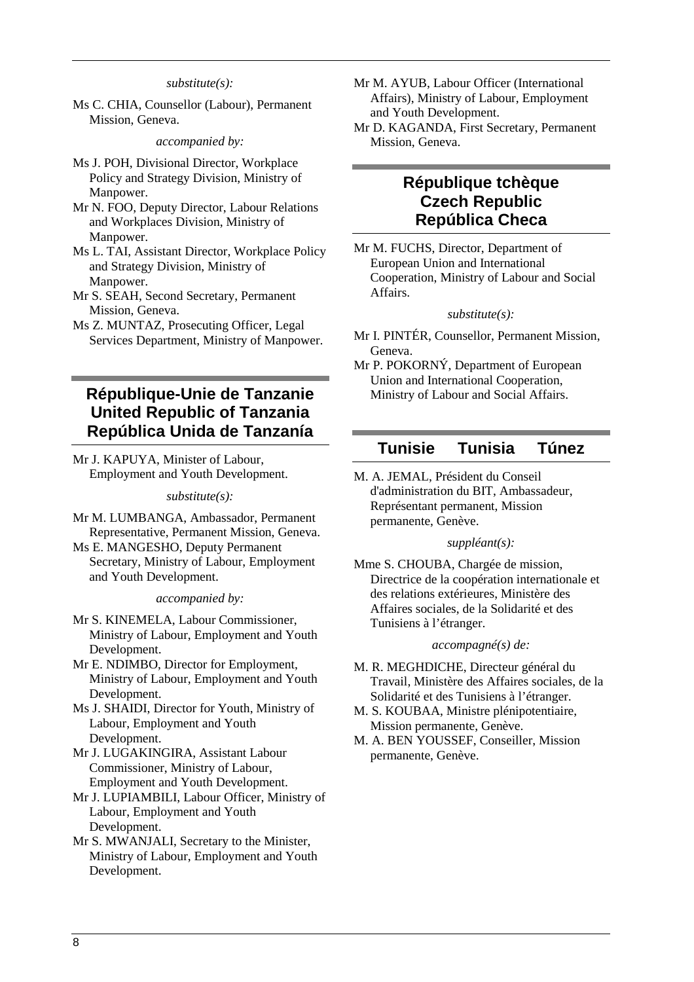#### *substitute(s):*

Ms C. CHIA, Counsellor (Labour), Permanent Mission, Geneva.

*accompanied by:* 

- Ms J. POH, Divisional Director, Workplace Policy and Strategy Division, Ministry of Manpower.
- Mr N. FOO, Deputy Director, Labour Relations and Workplaces Division, Ministry of Manpower.
- Ms L. TAI, Assistant Director, Workplace Policy and Strategy Division, Ministry of Manpower.
- Mr S. SEAH, Second Secretary, Permanent Mission, Geneva.
- Ms Z. MUNTAZ, Prosecuting Officer, Legal Services Department, Ministry of Manpower.

# **République-Unie de Tanzanie United Republic of Tanzania República Unida de Tanzanía**

Mr J. KAPUYA, Minister of Labour, Employment and Youth Development.

#### *substitute(s):*

- Mr M. LUMBANGA, Ambassador, Permanent Representative, Permanent Mission, Geneva.
- Ms E. MANGESHO, Deputy Permanent Secretary, Ministry of Labour, Employment and Youth Development.

*accompanied by:* 

- Mr S. KINEMELA, Labour Commissioner, Ministry of Labour, Employment and Youth Development.
- Mr E. NDIMBO, Director for Employment, Ministry of Labour, Employment and Youth Development.
- Ms J. SHAIDI, Director for Youth, Ministry of Labour, Employment and Youth Development.
- Mr J. LUGAKINGIRA, Assistant Labour Commissioner, Ministry of Labour, Employment and Youth Development.
- Mr J. LUPIAMBILI, Labour Officer, Ministry of Labour, Employment and Youth Development.
- Mr S. MWANJALI, Secretary to the Minister, Ministry of Labour, Employment and Youth Development.
- Mr M. AYUB, Labour Officer (International Affairs), Ministry of Labour, Employment and Youth Development.
- Mr D. KAGANDA, First Secretary, Permanent Mission, Geneva.

## **République tchèque Czech Republic República Checa**

Mr M. FUCHS, Director, Department of European Union and International Cooperation, Ministry of Labour and Social Affairs.

#### *substitute(s):*

- Mr I. PINTÉR, Counsellor, Permanent Mission, Geneva.
- Mr P. POKORNÝ, Department of European Union and International Cooperation, Ministry of Labour and Social Affairs.

## **Tunisie Tunisia Túnez**

M. A. JEMAL, Président du Conseil d'administration du BIT, Ambassadeur, Représentant permanent, Mission permanente, Genève.

#### *suppléant(s):*

Mme S. CHOUBA, Chargée de mission, Directrice de la coopération internationale et des relations extérieures, Ministère des Affaires sociales, de la Solidarité et des Tunisiens à l'étranger.

#### *accompagné(s) de:*

- M. R. MEGHDICHE, Directeur général du Travail, Ministère des Affaires sociales, de la Solidarité et des Tunisiens à l'étranger.
- M. S. KOUBAA, Ministre plénipotentiaire, Mission permanente, Genève.
- M. A. BEN YOUSSEF, Conseiller, Mission permanente, Genève.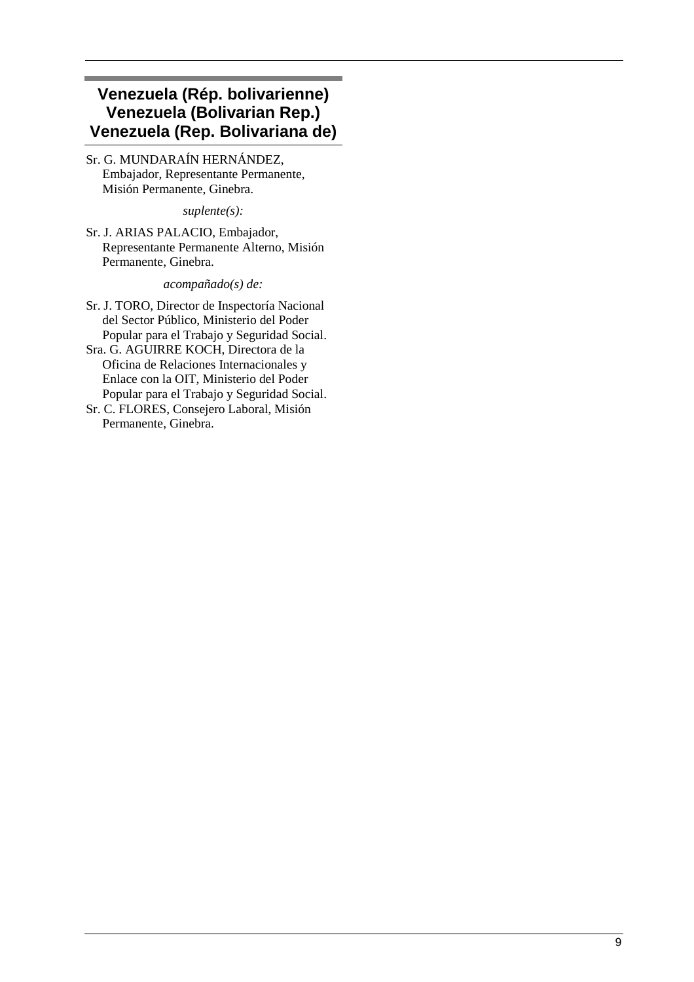# **Venezuela (Rép. bolivarienne) Venezuela (Bolivarian Rep.) Venezuela (Rep. Bolivariana de)**

Sr. G. MUNDARAÍN HERNÁNDEZ, Embajador, Representante Permanente, Misión Permanente, Ginebra.

*suplente(s):* 

Sr. J. ARIAS PALACIO, Embajador, Representante Permanente Alterno, Misión Permanente, Ginebra.

*acompañado(s) de:* 

- Sr. J. TORO, Director de Inspectoría Nacional del Sector Público, Ministerio del Poder Popular para el Trabajo y Seguridad Social.
- Sra. G. AGUIRRE KOCH, Directora de la Oficina de Relaciones Internacionales y Enlace con la OIT, Ministerio del Poder Popular para el Trabajo y Seguridad Social.
- Sr. C. FLORES, Consejero Laboral, Misión Permanente, Ginebra.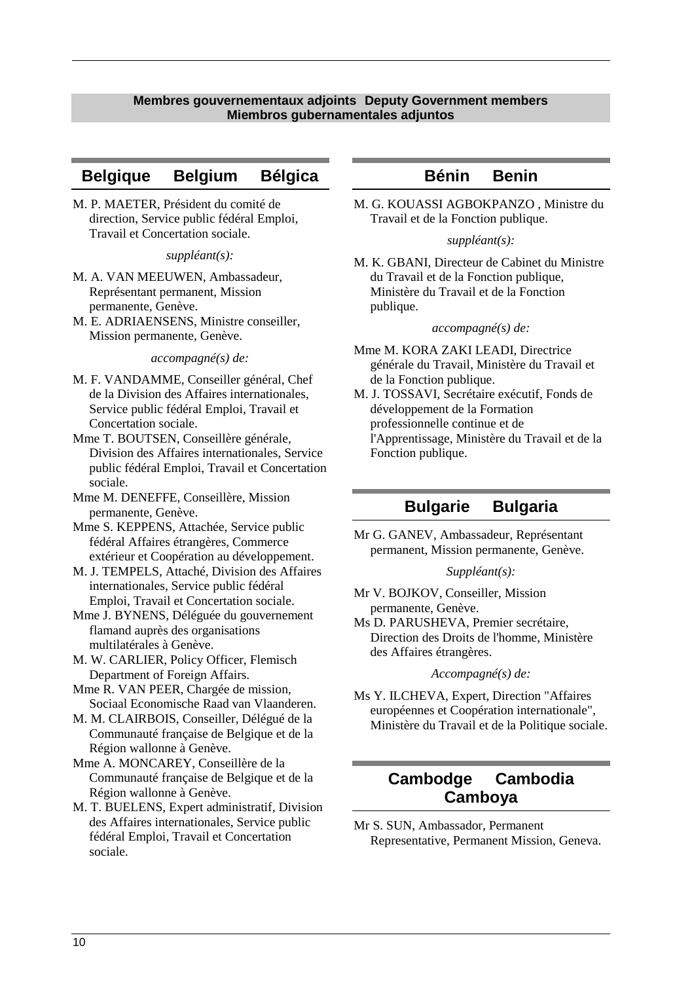### **Membres gouvernementaux adjoints Deputy Government members Miembros gubernamentales adjuntos**

### **Belgique Belgium Bélgica**

M. P. MAETER, Président du comité de direction, Service public fédéral Emploi, Travail et Concertation sociale.

### *suppléant(s):*

- M. A. VAN MEEUWEN, Ambassadeur, Représentant permanent, Mission permanente, Genève.
- M. E. ADRIAENSENS, Ministre conseiller, Mission permanente, Genève.

#### *accompagné(s) de:*

- M. F. VANDAMME, Conseiller général, Chef de la Division des Affaires internationales, Service public fédéral Emploi, Travail et Concertation sociale.
- Mme T. BOUTSEN, Conseillère générale, Division des Affaires internationales, Service public fédéral Emploi, Travail et Concertation sociale.
- Mme M. DENEFFE, Conseillère, Mission permanente, Genève.
- Mme S. KEPPENS, Attachée, Service public fédéral Affaires étrangères, Commerce extérieur et Coopération au développement.
- M. J. TEMPELS, Attaché, Division des Affaires internationales, Service public fédéral Emploi, Travail et Concertation sociale.

Mme J. BYNENS, Déléguée du gouvernement flamand auprès des organisations multilatérales à Genève.

M. W. CARLIER, Policy Officer, Flemisch Department of Foreign Affairs.

- Mme R. VAN PEER, Chargée de mission, Sociaal Economische Raad van Vlaanderen.
- M. M. CLAIRBOIS, Conseiller, Délégué de la Communauté française de Belgique et de la Région wallonne à Genève.

Mme A. MONCAREY, Conseillère de la Communauté française de Belgique et de la Région wallonne à Genève.

M. T. BUELENS, Expert administratif, Division des Affaires internationales, Service public fédéral Emploi, Travail et Concertation sociale.

### **Bénin Benin**

M. G. KOUASSI AGBOKPANZO , Ministre du Travail et de la Fonction publique.

### *suppléant(s):*

M. K. GBANI, Directeur de Cabinet du Ministre du Travail et de la Fonction publique, Ministère du Travail et de la Fonction publique.

### *accompagné(s) de:*

- Mme M. KORA ZAKI LEADI, Directrice générale du Travail, Ministère du Travail et de la Fonction publique.
- M. J. TOSSAVI, Secrétaire exécutif, Fonds de développement de la Formation professionnelle continue et de l'Apprentissage, Ministère du Travail et de la Fonction publique.

### **Bulgarie Bulgaria**

Mr G. GANEV, Ambassadeur, Représentant permanent, Mission permanente, Genève.

### *Suppléant(s):*

- Mr V. BOJKOV, Conseiller, Mission permanente, Genève.
- Ms D. PARUSHEVA, Premier secrétaire, Direction des Droits de l'homme, Ministère des Affaires étrangères.

### *Accompagné(s) de:*

Ms Y. ILCHEVA, Expert, Direction "Affaires européennes et Coopération internationale", Ministère du Travail et de la Politique sociale.

## **Cambodge Cambodia Camboya**

Mr S. SUN, Ambassador, Permanent Representative, Permanent Mission, Geneva.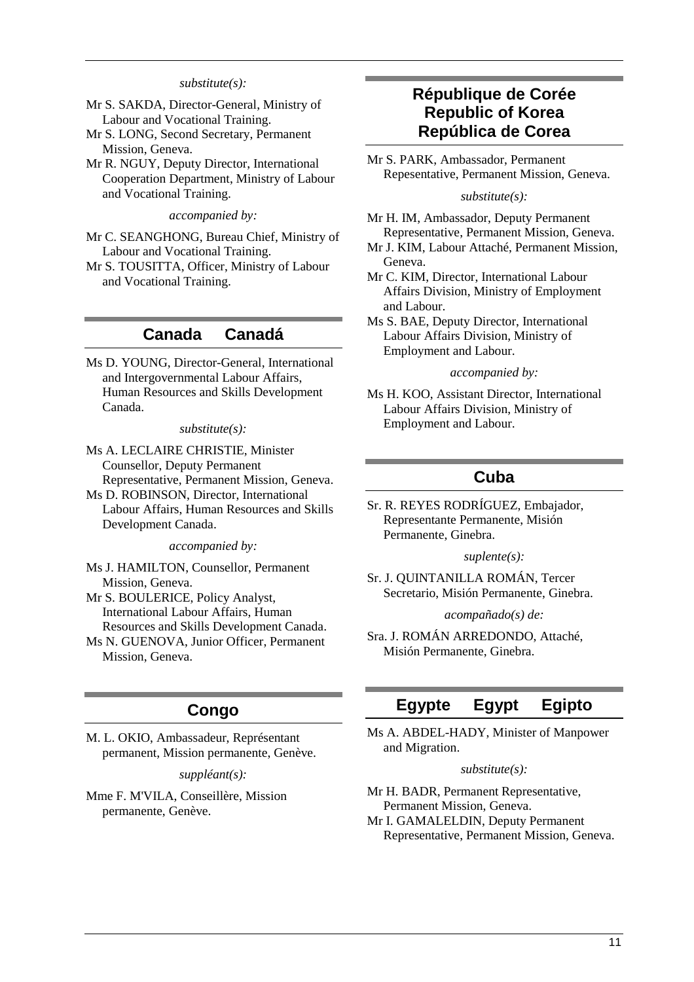### *substitute(s):*

- Mr S. SAKDA, Director-General, Ministry of Labour and Vocational Training.
- Mr S. LONG, Second Secretary, Permanent Mission, Geneva.
- Mr R. NGUY, Deputy Director, International Cooperation Department, Ministry of Labour and Vocational Training.

#### *accompanied by:*

- Mr C. SEANGHONG, Bureau Chief, Ministry of Labour and Vocational Training.
- Mr S. TOUSITTA, Officer, Ministry of Labour and Vocational Training.

### **Canada Canadá**

Ms D. YOUNG, Director-General, International and Intergovernmental Labour Affairs, Human Resources and Skills Development Canada.

#### *substitute(s):*

- Ms A. LECLAIRE CHRISTIE, Minister Counsellor, Deputy Permanent Representative, Permanent Mission, Geneva.
- Ms D. ROBINSON, Director, International Labour Affairs, Human Resources and Skills Development Canada.

*accompanied by:* 

- Ms J. HAMILTON, Counsellor, Permanent Mission, Geneva.
- Mr S. BOULERICE, Policy Analyst, International Labour Affairs, Human Resources and Skills Development Canada.
- Ms N. GUENOVA, Junior Officer, Permanent Mission, Geneva.

### **Congo**

M. L. OKIO, Ambassadeur, Représentant permanent, Mission permanente, Genève.

*suppléant(s):* 

Mme F. M'VILA, Conseillère, Mission permanente, Genève.

## **République de Corée Republic of Korea República de Corea**

Mr S. PARK, Ambassador, Permanent Repesentative, Permanent Mission, Geneva.

#### *substitute(s):*

- Mr H. IM, Ambassador, Deputy Permanent Representative, Permanent Mission, Geneva.
- Mr J. KIM, Labour Attaché, Permanent Mission, Geneva.
- Mr C. KIM, Director, International Labour Affairs Division, Ministry of Employment and Labour.
- Ms S. BAE, Deputy Director, International Labour Affairs Division, Ministry of Employment and Labour.

#### *accompanied by:*

Ms H. KOO, Assistant Director, International Labour Affairs Division, Ministry of Employment and Labour.

### **Cuba**

Sr. R. REYES RODRÍGUEZ, Embajador, Representante Permanente, Misión Permanente, Ginebra.

#### *suplente(s):*

Sr. J. QUINTANILLA ROMÁN, Tercer Secretario, Misión Permanente, Ginebra.

*acompañado(s) de:* 

Sra. J. ROMÁN ARREDONDO, Attaché, Misión Permanente, Ginebra.

## **Egypte Egypt Egipto**

Ms A. ABDEL-HADY, Minister of Manpower and Migration.

#### *substitute(s):*

Mr H. BADR, Permanent Representative, Permanent Mission, Geneva. Mr I. GAMALELDIN, Deputy Permanent Representative, Permanent Mission, Geneva.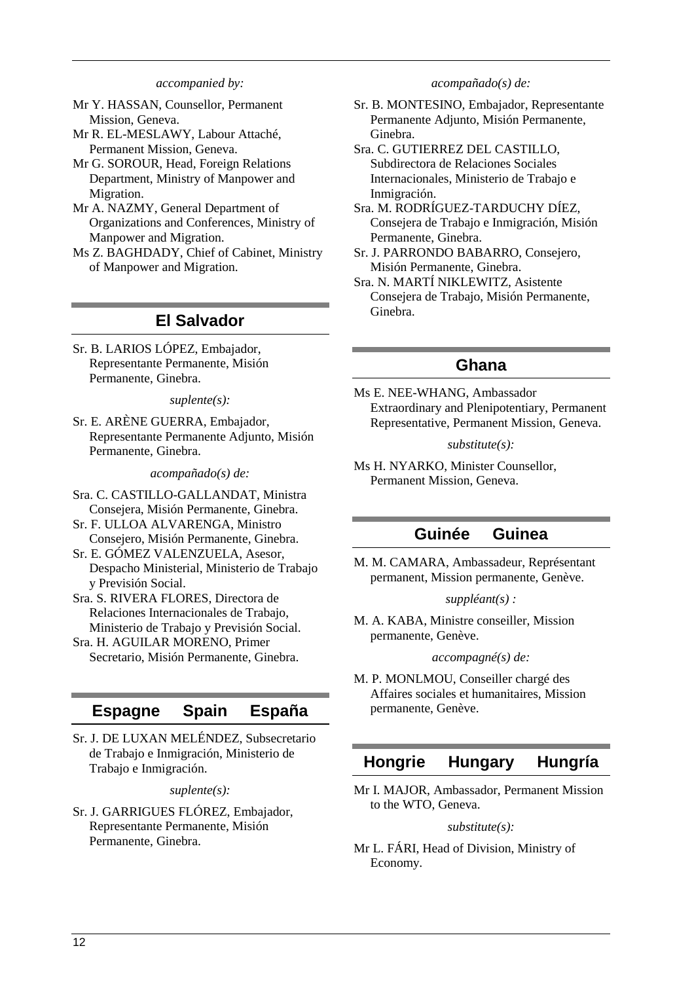#### *accompanied by:*

- Mr Y. HASSAN, Counsellor, Permanent Mission, Geneva.
- Mr R. EL-MESLAWY, Labour Attaché, Permanent Mission, Geneva.
- Mr G. SOROUR, Head, Foreign Relations Department, Ministry of Manpower and Migration.
- Mr A. NAZMY, General Department of Organizations and Conferences, Ministry of Manpower and Migration.
- Ms Z. BAGHDADY, Chief of Cabinet, Ministry of Manpower and Migration.

## **El Salvador**

Sr. B. LARIOS LÓPEZ, Embajador, Representante Permanente, Misión Permanente, Ginebra.

*suplente(s):* 

Sr. E. ARÈNE GUERRA, Embajador, Representante Permanente Adjunto, Misión Permanente, Ginebra.

*acompañado(s) de:* 

- Sra. C. CASTILLO-GALLANDAT, Ministra Consejera, Misión Permanente, Ginebra.
- Sr. F. ULLOA ALVARENGA, Ministro Consejero, Misión Permanente, Ginebra.
- Sr. E. GÓMEZ VALENZUELA, Asesor,
- Despacho Ministerial, Ministerio de Trabajo y Previsión Social.
- Sra. S. RIVERA FLORES, Directora de Relaciones Internacionales de Trabajo, Ministerio de Trabajo y Previsión Social.
- Sra. H. AGUILAR MORENO, Primer Secretario, Misión Permanente, Ginebra.

## **Espagne Spain España**

Sr. J. DE LUXAN MELÉNDEZ, Subsecretario de Trabajo e Inmigración, Ministerio de Trabajo e Inmigración.

*suplente(s):* 

Sr. J. GARRIGUES FLÓREZ, Embajador, Representante Permanente, Misión Permanente, Ginebra.

*acompañado(s) de:* 

- Sr. B. MONTESINO, Embajador, Representante Permanente Adjunto, Misión Permanente, Ginebra.
- Sra. C. GUTIERREZ DEL CASTILLO, Subdirectora de Relaciones Sociales Internacionales, Ministerio de Trabajo e Inmigración.
- Sra. M. RODRÍGUEZ-TARDUCHY DÍEZ, Consejera de Trabajo e Inmigración, Misión Permanente, Ginebra.
- Sr. J. PARRONDO BABARRO, Consejero, Misión Permanente, Ginebra.
- Sra. N. MARTÍ NIKLEWITZ, Asistente Consejera de Trabajo, Misión Permanente, Ginebra.

### **Ghana**

Ms E. NEE-WHANG, Ambassador Extraordinary and Plenipotentiary, Permanent Representative, Permanent Mission, Geneva.

#### *substitute(s):*

Ms H. NYARKO, Minister Counsellor, Permanent Mission, Geneva.

## **Guinée Guinea**

M. M. CAMARA, Ambassadeur, Représentant permanent, Mission permanente, Genève.

### *suppléant(s) :*

M. A. KABA, Ministre conseiller, Mission permanente, Genève.

#### *accompagné(s) de:*

M. P. MONLMOU, Conseiller chargé des Affaires sociales et humanitaires, Mission permanente, Genève.

## **Hongrie Hungary Hungría**

Mr I. MAJOR, Ambassador, Permanent Mission to the WTO, Geneva.

### *substitute(s):*

Mr L. FÁRI, Head of Division, Ministry of Economy.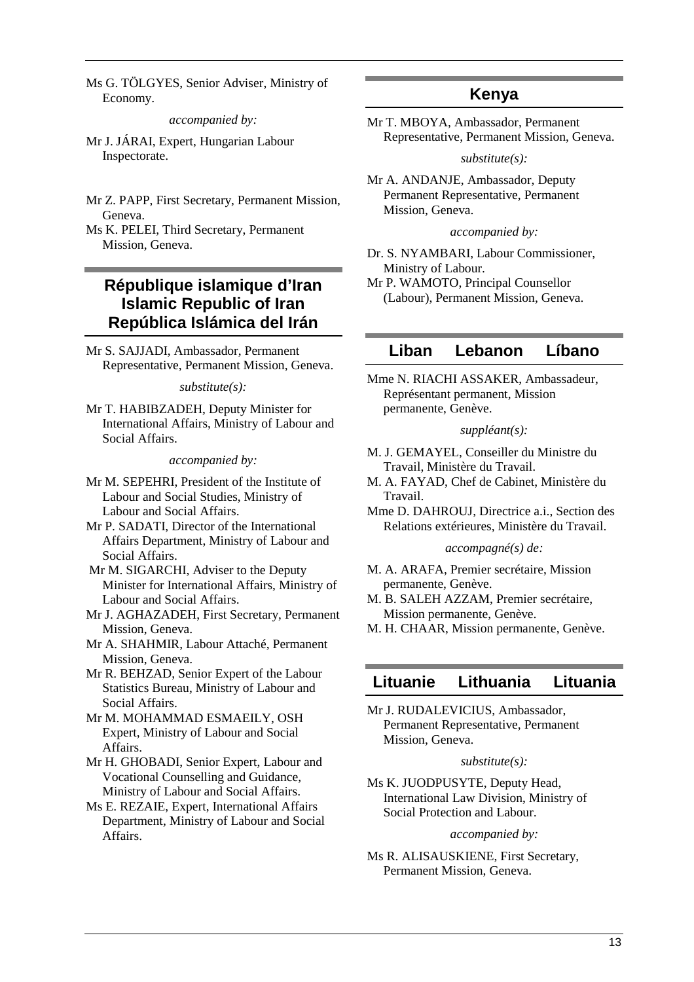Ms G. TÖLGYES, Senior Adviser, Ministry of Economy.

*accompanied by:* 

- Mr J. JÁRAI, Expert, Hungarian Labour Inspectorate.
- Mr Z. PAPP, First Secretary, Permanent Mission, Geneva.

Ms K. PELEI, Third Secretary, Permanent Mission, Geneva.

# **République islamique d'Iran Islamic Republic of Iran República Islámica del Irán**

Mr S. SAJJADI, Ambassador, Permanent Representative, Permanent Mission, Geneva.

*substitute(s):* 

Mr T. HABIBZADEH, Deputy Minister for International Affairs, Ministry of Labour and Social Affairs.

*accompanied by:* 

- Mr M. SEPEHRI, President of the Institute of Labour and Social Studies, Ministry of Labour and Social Affairs.
- Mr P. SADATI, Director of the International Affairs Department, Ministry of Labour and Social Affairs.
- Mr M. SIGARCHI, Adviser to the Deputy Minister for International Affairs, Ministry of Labour and Social Affairs.
- Mr J. AGHAZADEH, First Secretary, Permanent Mission, Geneva.
- Mr A. SHAHMIR, Labour Attaché, Permanent Mission, Geneva.
- Mr R. BEHZAD, Senior Expert of the Labour Statistics Bureau, Ministry of Labour and Social Affairs.
- Mr M. MOHAMMAD ESMAEILY, OSH Expert, Ministry of Labour and Social Affairs.
- Mr H. GHOBADI, Senior Expert, Labour and Vocational Counselling and Guidance, Ministry of Labour and Social Affairs.
- Ms E. REZAIE, Expert, International Affairs Department, Ministry of Labour and Social Affairs.

# **Kenya**

Mr T. MBOYA, Ambassador, Permanent Representative, Permanent Mission, Geneva.

*substitute(s):* 

Mr A. ANDANJE, Ambassador, Deputy Permanent Representative, Permanent Mission, Geneva.

*accompanied by:* 

- Dr. S. NYAMBARI, Labour Commissioner, Ministry of Labour.
- Mr P. WAMOTO, Principal Counsellor (Labour), Permanent Mission, Geneva.

## **Liban Lebanon Líbano**

Mme N. RIACHI ASSAKER, Ambassadeur, Représentant permanent, Mission permanente, Genève.

### *suppléant(s):*

- M. J. GEMAYEL, Conseiller du Ministre du Travail, Ministère du Travail.
- M. A. FAYAD, Chef de Cabinet, Ministère du Travail.
- Mme D. DAHROUJ, Directrice a.i., Section des Relations extérieures, Ministère du Travail.

### *accompagné(s) de:*

- M. A. ARAFA, Premier secrétaire, Mission permanente, Genève.
- M. B. SALEH AZZAM, Premier secrétaire, Mission permanente, Genève.
- M. H. CHAAR, Mission permanente, Genève.

## **Lituanie Lithuania Lituania**

Mr J. RUDALEVICIUS, Ambassador, Permanent Representative, Permanent Mission, Geneva.

#### *substitute(s):*

Ms K. JUODPUSYTE, Deputy Head, International Law Division, Ministry of Social Protection and Labour.

### *accompanied by:*

Ms R. ALISAUSKIENE, First Secretary, Permanent Mission, Geneva.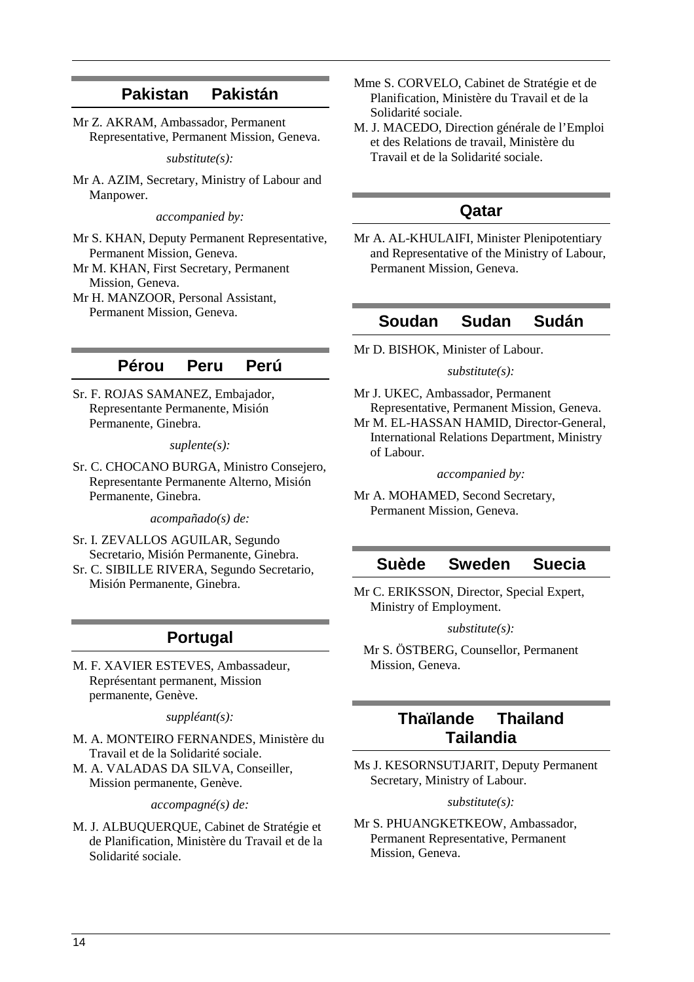### **Pakistan Pakistán**

Mr Z. AKRAM, Ambassador, Permanent Representative, Permanent Mission, Geneva.

#### *substitute(s):*

Mr A. AZIM, Secretary, Ministry of Labour and Manpower.

*accompanied by:* 

- Mr S. KHAN, Deputy Permanent Representative, Permanent Mission, Geneva.
- Mr M. KHAN, First Secretary, Permanent Mission, Geneva.
- Mr H. MANZOOR, Personal Assistant, Permanent Mission, Geneva.

## **Pérou Peru Perú**

Sr. F. ROJAS SAMANEZ, Embajador, Representante Permanente, Misión Permanente, Ginebra.

#### *suplente(s):*

Sr. C. CHOCANO BURGA, Ministro Consejero, Representante Permanente Alterno, Misión Permanente, Ginebra.

*acompañado(s) de:* 

- Sr. I. ZEVALLOS AGUILAR, Segundo Secretario, Misión Permanente, Ginebra.
- Sr. C. SIBILLE RIVERA, Segundo Secretario, Misión Permanente, Ginebra.

### **Portugal**

M. F. XAVIER ESTEVES, Ambassadeur, Représentant permanent, Mission permanente, Genève.

*suppléant(s):* 

- M. A. MONTEIRO FERNANDES, Ministère du Travail et de la Solidarité sociale.
- M. A. VALADAS DA SILVA, Conseiller, Mission permanente, Genève.

*accompagné(s) de:* 

M. J. ALBUQUERQUE, Cabinet de Stratégie et de Planification, Ministère du Travail et de la Solidarité sociale.

- Mme S. CORVELO, Cabinet de Stratégie et de Planification, Ministère du Travail et de la Solidarité sociale.
- M. J. MACEDO, Direction générale de l'Emploi et des Relations de travail, Ministère du Travail et de la Solidarité sociale.

### **Qatar**

Mr A. AL-KHULAIFI, Minister Plenipotentiary and Representative of the Ministry of Labour, Permanent Mission, Geneva.

### **Soudan Sudan Sudán**

Mr D. BISHOK, Minister of Labour.

### *substitute(s):*

Mr J. UKEC, Ambassador, Permanent Representative, Permanent Mission, Geneva.

Mr M. EL-HASSAN HAMID, Director-General, International Relations Department, Ministry of Labour.

*accompanied by:* 

Mr A. MOHAMED, Second Secretary, Permanent Mission, Geneva.

### **Suède Sweden Suecia**

Mr C. ERIKSSON, Director, Special Expert, Ministry of Employment.

*substitute(s):* 

 Mr S. ÖSTBERG, Counsellor, Permanent Mission, Geneva.

## **Thaïlande Thailand Tailandia**

Ms J. KESORNSUTJARIT, Deputy Permanent Secretary, Ministry of Labour.

#### *substitute(s):*

Mr S. PHUANGKETKEOW, Ambassador, Permanent Representative, Permanent Mission, Geneva.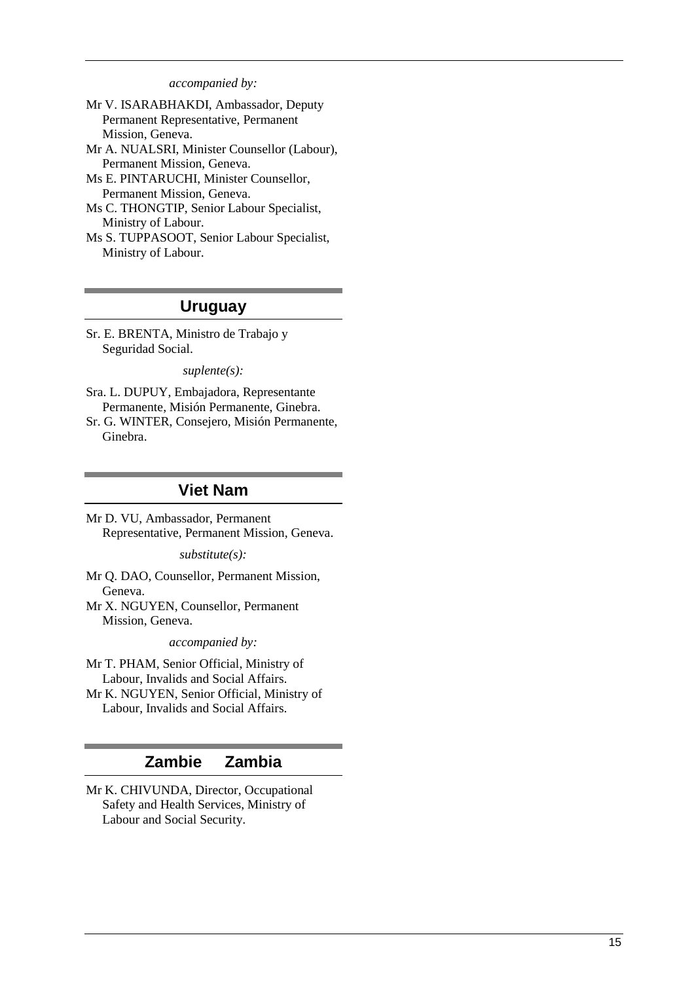*accompanied by:* 

- Mr V. ISARABHAKDI, Ambassador, Deputy Permanent Representative, Permanent Mission, Geneva.
- Mr A. NUALSRI, Minister Counsellor (Labour), Permanent Mission, Geneva.
- Ms E. PINTARUCHI, Minister Counsellor, Permanent Mission, Geneva.
- Ms C. THONGTIP, Senior Labour Specialist, Ministry of Labour.
- Ms S. TUPPASOOT, Senior Labour Specialist, Ministry of Labour.

### **Uruguay**

Sr. E. BRENTA, Ministro de Trabajo y Seguridad Social.

*suplente(s):* 

- Sra. L. DUPUY, Embajadora, Representante Permanente, Misión Permanente, Ginebra.
- Sr. G. WINTER, Consejero, Misión Permanente, Ginebra.

### **Viet Nam**

Mr D. VU, Ambassador, Permanent Representative, Permanent Mission, Geneva.

*substitute(s):* 

Mr Q. DAO, Counsellor, Permanent Mission, Geneva.

Mr X. NGUYEN, Counsellor, Permanent Mission, Geneva.

*accompanied by:* 

- Mr T. PHAM, Senior Official, Ministry of Labour, Invalids and Social Affairs.
- Mr K. NGUYEN, Senior Official, Ministry of Labour, Invalids and Social Affairs.

## **Zambie Zambia**

Mr K. CHIVUNDA, Director, Occupational Safety and Health Services, Ministry of Labour and Social Security.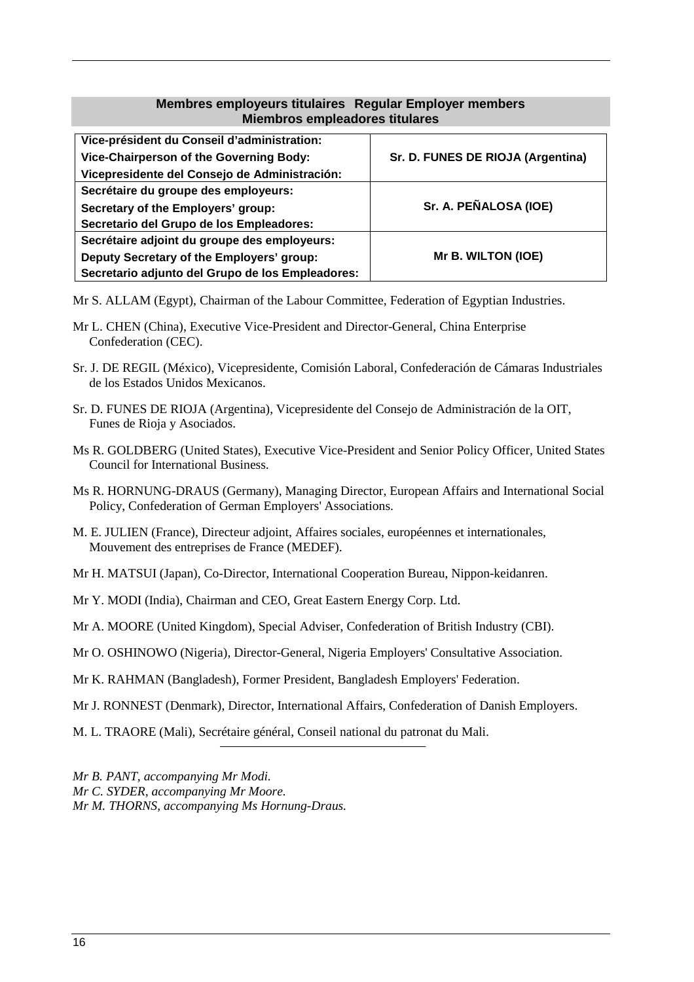### **Membres employeurs titulaires Regular Employer members Miembros empleadores titulares**

| Vice-président du Conseil d'administration:      |                                   |  |
|--------------------------------------------------|-----------------------------------|--|
| Vice-Chairperson of the Governing Body:          | Sr. D. FUNES DE RIOJA (Argentina) |  |
| Vicepresidente del Consejo de Administración:    |                                   |  |
| Secrétaire du groupe des employeurs:             |                                   |  |
| Secretary of the Employers' group:               | Sr. A. PEÑALOSA (IOE)             |  |
| Secretario del Grupo de los Empleadores:         |                                   |  |
| Secrétaire adjoint du groupe des employeurs:     |                                   |  |
| Deputy Secretary of the Employers' group:        | Mr B. WILTON (IOE)                |  |
| Secretario adjunto del Grupo de los Empleadores: |                                   |  |

Mr S. ALLAM (Egypt), Chairman of the Labour Committee, Federation of Egyptian Industries.

- Mr L. CHEN (China), Executive Vice-President and Director-General, China Enterprise Confederation (CEC).
- Sr. J. DE REGIL (México), Vicepresidente, Comisión Laboral, Confederación de Cámaras Industriales de los Estados Unidos Mexicanos.
- Sr. D. FUNES DE RIOJA (Argentina), Vicepresidente del Consejo de Administración de la OIT, Funes de Rioja y Asociados.
- Ms R. GOLDBERG (United States), Executive Vice-President and Senior Policy Officer, United States Council for International Business.
- Ms R. HORNUNG-DRAUS (Germany), Managing Director, European Affairs and International Social Policy, Confederation of German Employers' Associations.
- M. E. JULIEN (France), Directeur adjoint, Affaires sociales, européennes et internationales, Mouvement des entreprises de France (MEDEF).
- Mr H. MATSUI (Japan), Co-Director, International Cooperation Bureau, Nippon-keidanren.
- Mr Y. MODI (India), Chairman and CEO, Great Eastern Energy Corp. Ltd.
- Mr A. MOORE (United Kingdom), Special Adviser, Confederation of British Industry (CBI).
- Mr O. OSHINOWO (Nigeria), Director-General, Nigeria Employers' Consultative Association.
- Mr K. RAHMAN (Bangladesh), Former President, Bangladesh Employers' Federation.
- Mr J. RONNEST (Denmark), Director, International Affairs, Confederation of Danish Employers.
- M. L. TRAORE (Mali), Secrétaire général, Conseil national du patronat du Mali.
- *Mr B. PANT, accompanying Mr Modi. Mr C. SYDER, accompanying Mr Moore. Mr M. THORNS, accompanying Ms Hornung-Draus.*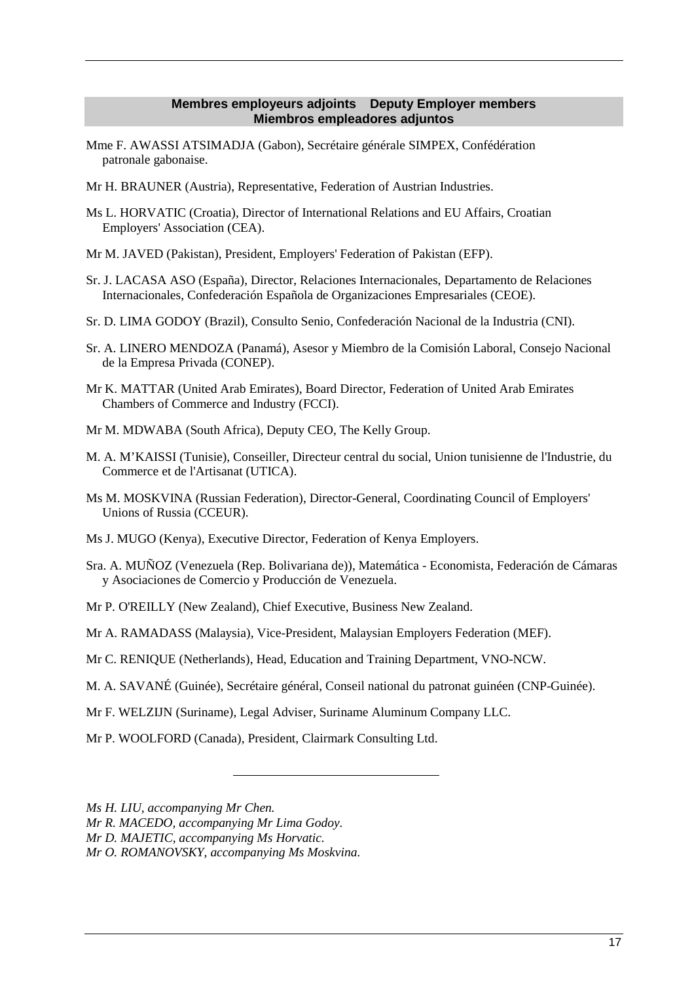### **Membres employeurs adjoints Deputy Employer members Miembros empleadores adjuntos**

- Mme F. AWASSI ATSIMADJA (Gabon), Secrétaire générale SIMPEX, Confédération patronale gabonaise.
- Mr H. BRAUNER (Austria), Representative, Federation of Austrian Industries.
- Ms L. HORVATIC (Croatia), Director of International Relations and EU Affairs, Croatian Employers' Association (CEA).
- Mr M. JAVED (Pakistan), President, Employers' Federation of Pakistan (EFP).
- Sr. J. LACASA ASO (España), Director, Relaciones Internacionales, Departamento de Relaciones Internacionales, Confederación Española de Organizaciones Empresariales (CEOE).
- Sr. D. LIMA GODOY (Brazil), Consulto Senio, Confederación Nacional de la Industria (CNI).
- Sr. A. LINERO MENDOZA (Panamá), Asesor y Miembro de la Comisión Laboral, Consejo Nacional de la Empresa Privada (CONEP).
- Mr K. MATTAR (United Arab Emirates), Board Director, Federation of United Arab Emirates Chambers of Commerce and Industry (FCCI).
- Mr M. MDWABA (South Africa), Deputy CEO, The Kelly Group.
- M. A. M'KAISSI (Tunisie), Conseiller, Directeur central du social, Union tunisienne de l'Industrie, du Commerce et de l'Artisanat (UTICA).
- Ms M. MOSKVINA (Russian Federation), Director-General, Coordinating Council of Employers' Unions of Russia (CCEUR).
- Ms J. MUGO (Kenya), Executive Director, Federation of Kenya Employers.
- Sra. A. MUÑOZ (Venezuela (Rep. Bolivariana de)), Matemática Economista, Federación de Cámaras y Asociaciones de Comercio y Producción de Venezuela.
- Mr P. O'REILLY (New Zealand), Chief Executive, Business New Zealand.
- Mr A. RAMADASS (Malaysia), Vice-President, Malaysian Employers Federation (MEF).
- Mr C. RENIQUE (Netherlands), Head, Education and Training Department, VNO-NCW.
- M. A. SAVANÉ (Guinée), Secrétaire général, Conseil national du patronat guinéen (CNP-Guinée).
- Mr F. WELZIJN (Suriname), Legal Adviser, Suriname Aluminum Company LLC.
- Mr P. WOOLFORD (Canada), President, Clairmark Consulting Ltd.
- *Ms H. LIU, accompanying Mr Chen.*

*Mr R. MACEDO, accompanying Mr Lima Godoy.* 

*Mr D. MAJETIC, accompanying Ms Horvatic.* 

*Mr O. ROMANOVSKY, accompanying Ms Moskvina.*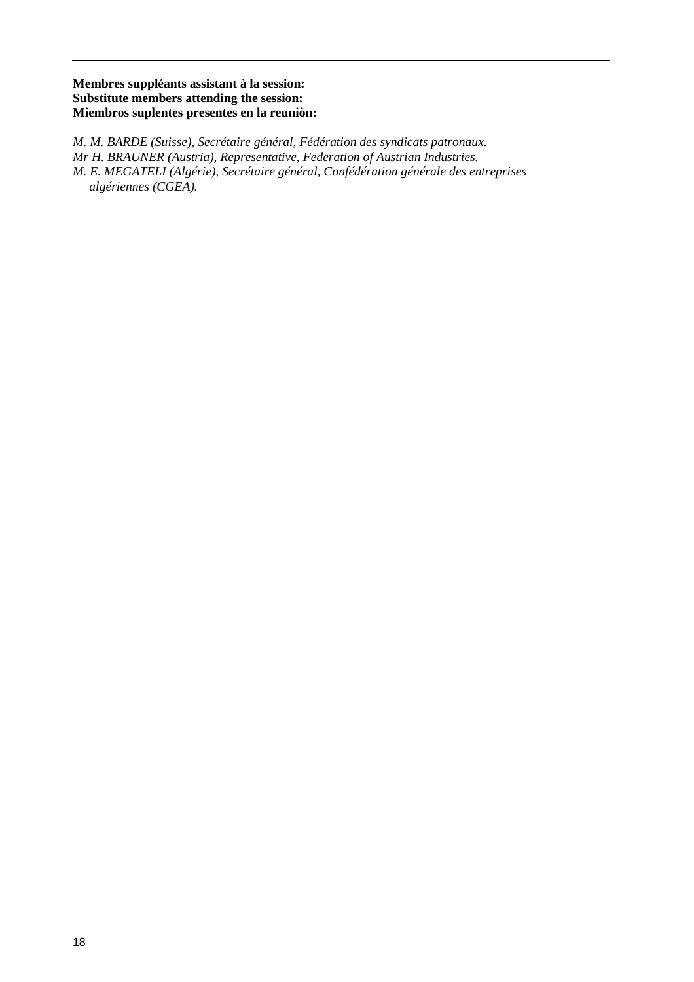### **Membres suppléants assistant à la session: Substitute members attending the session: Miembros suplentes presentes en la reuniòn:**

*M. M. BARDE (Suisse), Secrétaire général, Fédération des syndicats patronaux. Mr H. BRAUNER (Austria), Representative, Federation of Austrian Industries. M. E. MEGATELI (Algérie), Secrétaire général, Confédération générale des entreprises algériennes (CGEA).*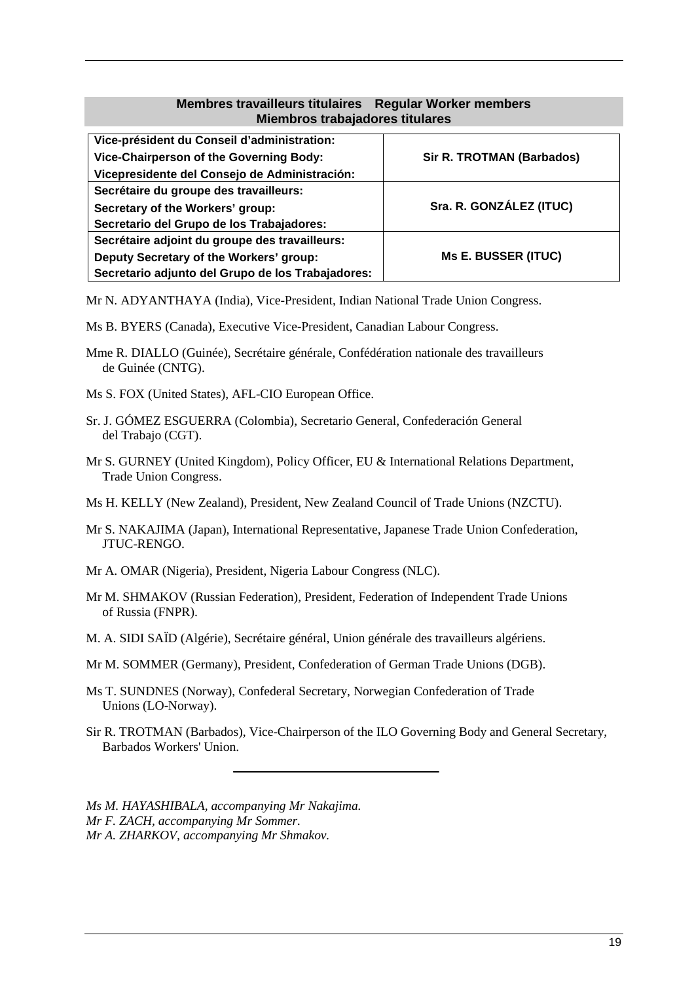### **Membres travailleurs titulaires Regular Worker members Miembros trabajadores titulares**

| Vice-président du Conseil d'administration:       |                                  |  |
|---------------------------------------------------|----------------------------------|--|
| Vice-Chairperson of the Governing Body:           | <b>Sir R. TROTMAN (Barbados)</b> |  |
| Vicepresidente del Consejo de Administración:     |                                  |  |
| Secrétaire du groupe des travailleurs:            |                                  |  |
| Secretary of the Workers' group:                  | Sra. R. GONZÁLEZ (ITUC)          |  |
| Secretario del Grupo de los Trabajadores:         |                                  |  |
| Secrétaire adjoint du groupe des travailleurs:    | <b>Ms E. BUSSER (ITUC)</b>       |  |
| Deputy Secretary of the Workers' group:           |                                  |  |
| Secretario adjunto del Grupo de los Trabajadores: |                                  |  |

Mr N. ADYANTHAYA (India), Vice-President, Indian National Trade Union Congress.

- Ms B. BYERS (Canada), Executive Vice-President, Canadian Labour Congress.
- Mme R. DIALLO (Guinée), Secrétaire générale, Confédération nationale des travailleurs de Guinée (CNTG).
- Ms S. FOX (United States), AFL-CIO European Office.
- Sr. J. GÓMEZ ESGUERRA (Colombia), Secretario General, Confederación General del Trabajo (CGT).
- Mr S. GURNEY (United Kingdom), Policy Officer, EU & International Relations Department, Trade Union Congress.
- Ms H. KELLY (New Zealand), President, New Zealand Council of Trade Unions (NZCTU).
- Mr S. NAKAJIMA (Japan), International Representative, Japanese Trade Union Confederation, JTUC-RENGO.
- Mr A. OMAR (Nigeria), President, Nigeria Labour Congress (NLC).
- Mr M. SHMAKOV (Russian Federation), President, Federation of Independent Trade Unions of Russia (FNPR).
- M. A. SIDI SAÏD (Algérie), Secrétaire général, Union générale des travailleurs algériens.
- Mr M. SOMMER (Germany), President, Confederation of German Trade Unions (DGB).
- Ms T. SUNDNES (Norway), Confederal Secretary, Norwegian Confederation of Trade Unions (LO-Norway).
- Sir R. TROTMAN (Barbados), Vice-Chairperson of the ILO Governing Body and General Secretary, Barbados Workers' Union.

*Ms M. HAYASHIBALA, accompanying Mr Nakajima. Mr F. ZACH, accompanying Mr Sommer. Mr A. ZHARKOV, accompanying Mr Shmakov.*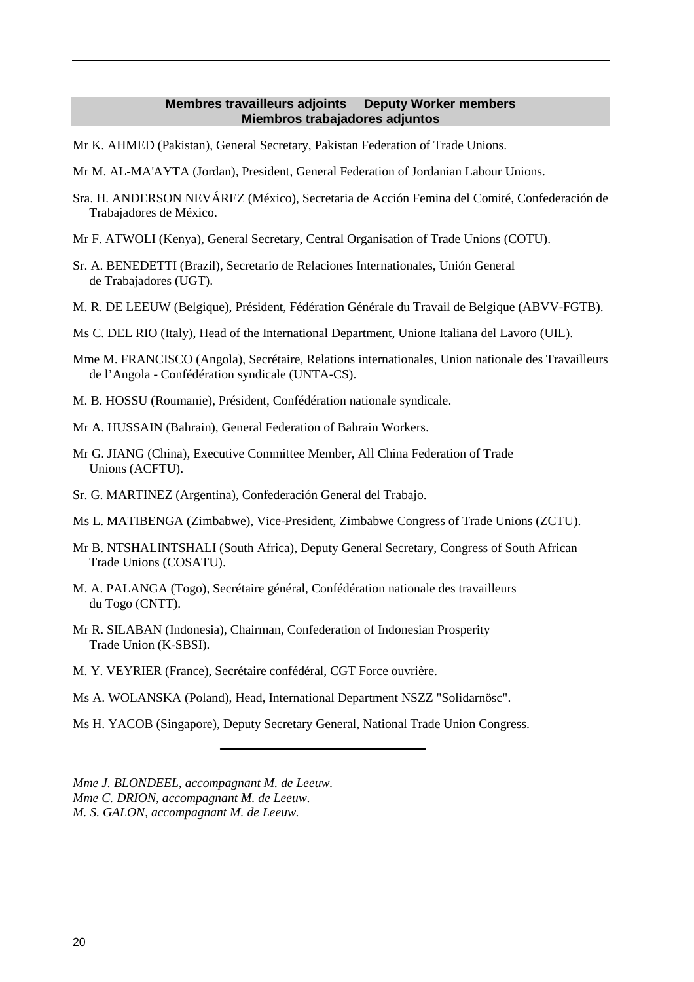### **Membres travailleurs adjoints Deputy Worker members Miembros trabajadores adjuntos**

- Mr K. AHMED (Pakistan), General Secretary, Pakistan Federation of Trade Unions.
- Mr M. AL-MA'AYTA (Jordan), President, General Federation of Jordanian Labour Unions.
- Sra. H. ANDERSON NEVÁREZ (México), Secretaria de Acción Femina del Comité, Confederación de Trabajadores de México.
- Mr F. ATWOLI (Kenya), General Secretary, Central Organisation of Trade Unions (COTU).
- Sr. A. BENEDETTI (Brazil), Secretario de Relaciones Internationales, Unión General de Trabajadores (UGT).
- M. R. DE LEEUW (Belgique), Président, Fédération Générale du Travail de Belgique (ABVV-FGTB).
- Ms C. DEL RIO (Italy), Head of the International Department, Unione Italiana del Lavoro (UIL).
- Mme M. FRANCISCO (Angola), Secrétaire, Relations internationales, Union nationale des Travailleurs de l'Angola - Confédération syndicale (UNTA-CS).
- M. B. HOSSU (Roumanie), Président, Confédération nationale syndicale.
- Mr A. HUSSAIN (Bahrain), General Federation of Bahrain Workers.
- Mr G. JIANG (China), Executive Committee Member, All China Federation of Trade Unions (ACFTU).
- Sr. G. MARTINEZ (Argentina), Confederación General del Trabajo.
- Ms L. MATIBENGA (Zimbabwe), Vice-President, Zimbabwe Congress of Trade Unions (ZCTU).
- Mr B. NTSHALINTSHALI (South Africa), Deputy General Secretary, Congress of South African Trade Unions (COSATU).
- M. A. PALANGA (Togo), Secrétaire général, Confédération nationale des travailleurs du Togo (CNTT).
- Mr R. SILABAN (Indonesia), Chairman, Confederation of Indonesian Prosperity Trade Union (K-SBSI).
- M. Y. VEYRIER (France), Secrétaire confédéral, CGT Force ouvrière.
- Ms A. WOLANSKA (Poland), Head, International Department NSZZ "Solidarnösc".
- Ms H. YACOB (Singapore), Deputy Secretary General, National Trade Union Congress.

*Mme J. BLONDEEL, accompagnant M. de Leeuw. Mme C. DRION, accompagnant M. de Leeuw. M. S. GALON, accompagnant M. de Leeuw.*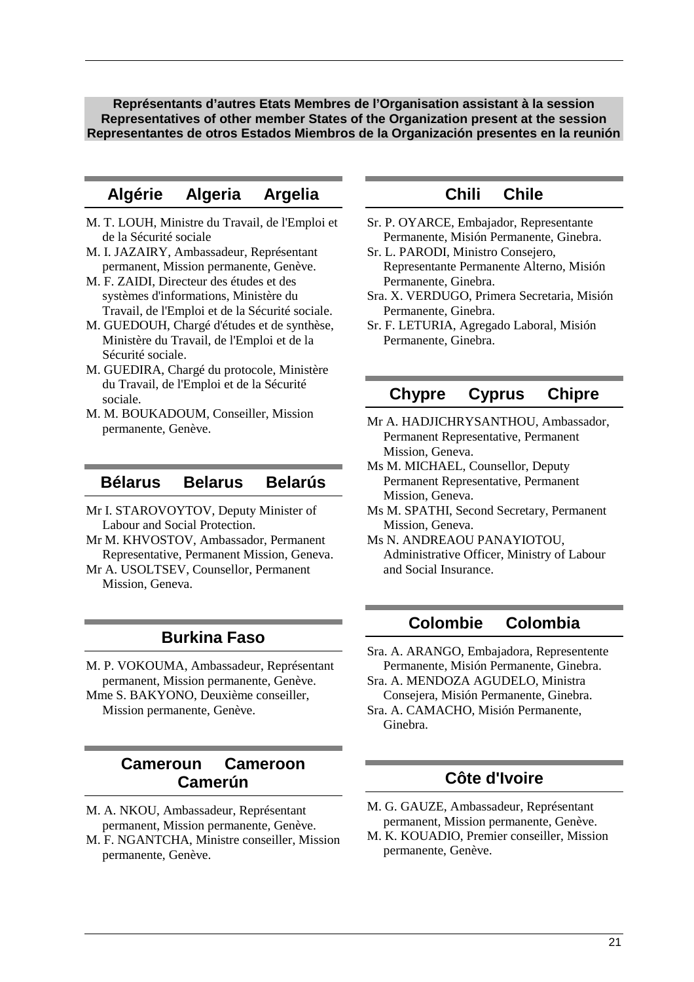**Représentants d'autres Etats Membres de l'Organisation assistant à la session Representatives of other member States of the Organization present at the session Representantes de otros Estados Miembros de la Organización presentes en la reunión** 

## **Algérie Algeria Argelia**

- M. T. LOUH, Ministre du Travail, de l'Emploi et de la Sécurité sociale
- M. I. JAZAIRY, Ambassadeur, Représentant permanent, Mission permanente, Genève.
- M. F. ZAIDI, Directeur des études et des systèmes d'informations, Ministère du Travail, de l'Emploi et de la Sécurité sociale.
- M. GUEDOUH, Chargé d'études et de synthèse, Ministère du Travail, de l'Emploi et de la Sécurité sociale.
- M. GUEDIRA, Chargé du protocole, Ministère du Travail, de l'Emploi et de la Sécurité sociale.
- M. M. BOUKADOUM, Conseiller, Mission permanente, Genève.

### **Bélarus Belarus Belarús**

- Mr I. STAROVOYTOV, Deputy Minister of Labour and Social Protection.
- Mr M. KHVOSTOV, Ambassador, Permanent Representative, Permanent Mission, Geneva.
- Mr A. USOLTSEV, Counsellor, Permanent Mission, Geneva.

### **Burkina Faso**

M. P. VOKOUMA, Ambassadeur, Représentant permanent, Mission permanente, Genève. Mme S. BAKYONO, Deuxième conseiller,

Mission permanente, Genève.

## **Cameroun Cameroon Camerún**

- M. A. NKOU, Ambassadeur, Représentant permanent, Mission permanente, Genève.
- M. F. NGANTCHA, Ministre conseiller, Mission permanente, Genève.

# **Chili Chile**

- Sr. P. OYARCE, Embajador, Representante Permanente, Misión Permanente, Ginebra.
- Sr. L. PARODI, Ministro Consejero, Representante Permanente Alterno, Misión Permanente, Ginebra.
- Sra. X. VERDUGO, Primera Secretaria, Misión Permanente, Ginebra.
- Sr. F. LETURIA, Agregado Laboral, Misión Permanente, Ginebra.

### **Chypre Cyprus Chipre**

- Mr A. HADJICHRYSANTHOU, Ambassador, Permanent Representative, Permanent Mission, Geneva.
- Ms M. MICHAEL, Counsellor, Deputy Permanent Representative, Permanent Mission, Geneva.
- Ms M. SPATHI, Second Secretary, Permanent Mission, Geneva.
- Ms N. ANDREAOU PANAYIOTOU, Administrative Officer, Ministry of Labour and Social Insurance.

## **Colombie Colombia**

- Sra. A. ARANGO, Embajadora, Representente Permanente, Misión Permanente, Ginebra.
- Sra. A. MENDOZA AGUDELO, Ministra Consejera, Misión Permanente, Ginebra.
- Sra. A. CAMACHO, Misión Permanente, Ginebra.

# **Côte d'Ivoire**

- M. G. GAUZE, Ambassadeur, Représentant permanent, Mission permanente, Genève.
- M. K. KOUADIO, Premier conseiller, Mission permanente, Genève.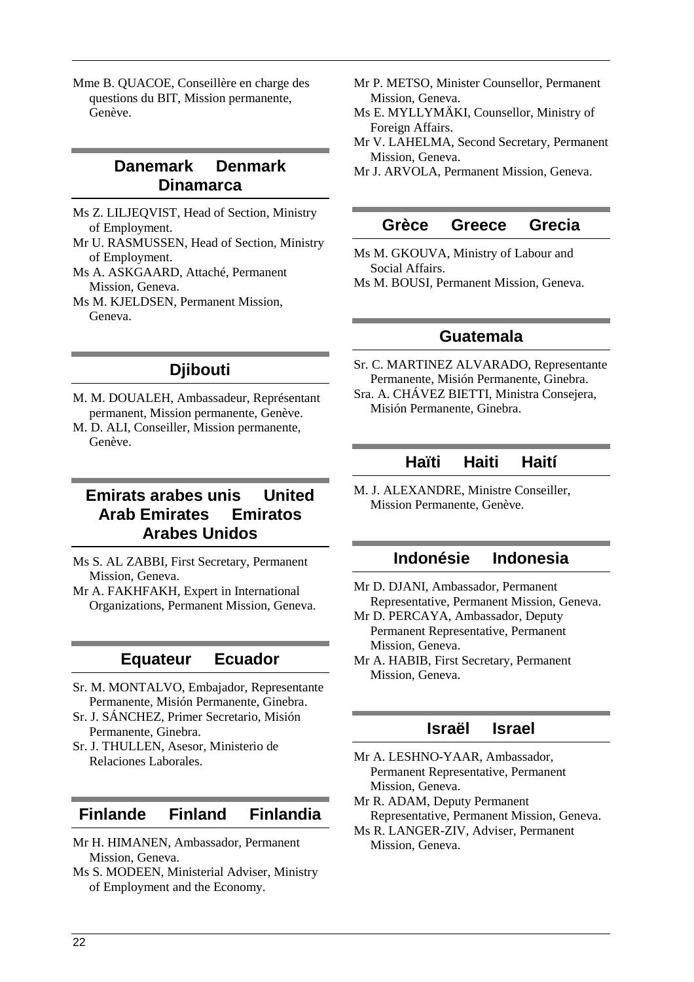Mme B. QUACOE, Conseillère en charge des questions du BIT, Mission permanente, Genève.

# **Danemark Denmark Dinamarca**

- Ms Z. LILJEQVIST, Head of Section, Ministry of Employment.
- Mr U. RASMUSSEN, Head of Section, Ministry of Employment.
- Ms A. ASKGAARD, Attaché, Permanent Mission, Geneva.
- Ms M. KJELDSEN, Permanent Mission, Geneva.

# **Djibouti**

- M. M. DOUALEH, Ambassadeur, Représentant permanent, Mission permanente, Genève.
- M. D. ALI, Conseiller, Mission permanente, Genève.

# **Emirats arabes unis United Arab Emirates Emiratos Arabes Unidos**

- Ms S. AL ZABBI, First Secretary, Permanent Mission, Geneva.
- Mr A. FAKHFAKH, Expert in International Organizations, Permanent Mission, Geneva.

## **Equateur Ecuador**

- Sr. M. MONTALVO, Embajador, Representante Permanente, Misión Permanente, Ginebra.
- Sr. J. SÁNCHEZ, Primer Secretario, Misión Permanente, Ginebra.
- Sr. J. THULLEN, Asesor, Ministerio de Relaciones Laborales.

# **Finlande Finland Finlandia**

- Mr H. HIMANEN, Ambassador, Permanent Mission, Geneva.
- Ms S. MODEEN, Ministerial Adviser, Ministry of Employment and the Economy.
- Mr P. METSO, Minister Counsellor, Permanent Mission, Geneva.
- Ms E. MYLLYMÄKI, Counsellor, Ministry of Foreign Affairs.
- Mr V. LAHELMA, Second Secretary, Permanent Mission, Geneva.
- Mr J. ARVOLA, Permanent Mission, Geneva.

## **Grèce Greece Grecia**

- Ms M. GKOUVA, Ministry of Labour and Social Affairs.
- Ms M. BOUSI, Permanent Mission, Geneva.

## **Guatemala**

Sr. C. MARTINEZ ALVARADO, Representante Permanente, Misión Permanente, Ginebra. Sra. A. CHÁVEZ BIETTI, Ministra Consejera,

Misión Permanente, Ginebra.

# **Haïti Haiti Haití**

M. J. ALEXANDRE, Ministre Conseiller, Mission Permanente, Genève.

# **Indonésie Indonesia**

- Mr D. DJANI, Ambassador, Permanent Representative, Permanent Mission, Geneva.
- Mr D. PERCAYA, Ambassador, Deputy Permanent Representative, Permanent Mission, Geneva.
- Mr A. HABIB, First Secretary, Permanent Mission, Geneva.

# **Israël Israel**

- Mr A. LESHNO-YAAR, Ambassador, Permanent Representative, Permanent Mission, Geneva.
- Mr R. ADAM, Deputy Permanent Representative, Permanent Mission, Geneva.
- Ms R. LANGER-ZIV, Adviser, Permanent Mission, Geneva.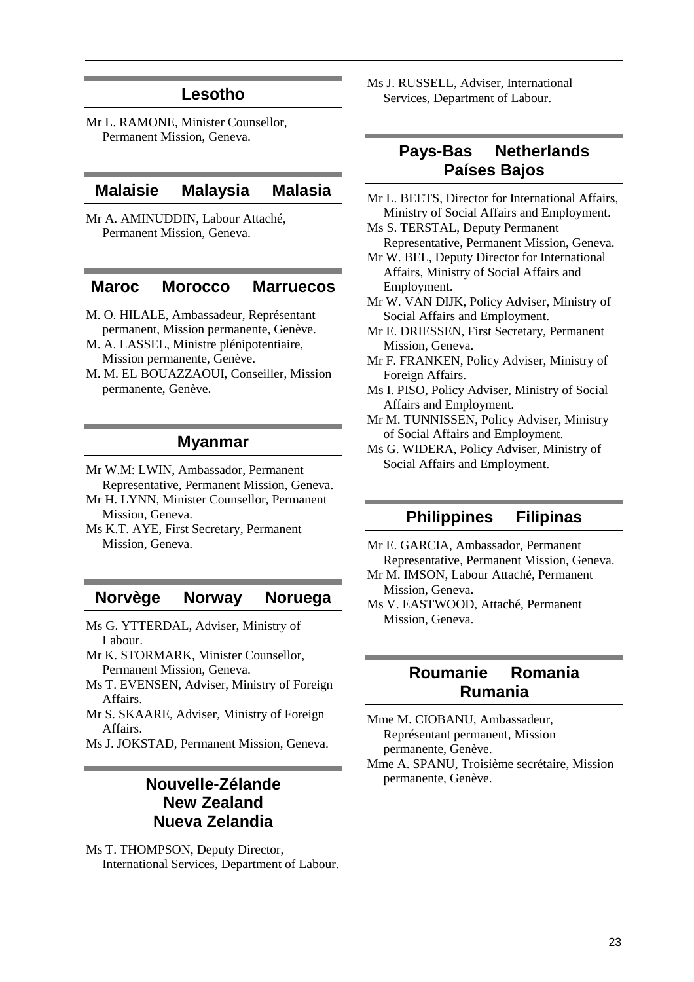### **Lesotho**

Mr L. RAMONE, Minister Counsellor, Permanent Mission, Geneva.

## **Malaisie Malaysia Malasia**

Mr A. AMINUDDIN, Labour Attaché, Permanent Mission, Geneva.

### **Maroc Morocco Marruecos**

- M. O. HILALE, Ambassadeur, Représentant permanent, Mission permanente, Genève.
- M. A. LASSEL, Ministre plénipotentiaire, Mission permanente, Genève.
- M. M. EL BOUAZZAOUI, Conseiller, Mission permanente, Genève.

### **Myanmar**

- Mr W.M: LWIN, Ambassador, Permanent Representative, Permanent Mission, Geneva.
- Mr H. LYNN, Minister Counsellor, Permanent Mission, Geneva.
- Ms K.T. AYE, First Secretary, Permanent Mission, Geneva.

### **Norvège Norway Noruega**

- Ms G. YTTERDAL, Adviser, Ministry of Labour.
- Mr K. STORMARK, Minister Counsellor, Permanent Mission, Geneva.
- Ms T. EVENSEN, Adviser, Ministry of Foreign Affairs.
- Mr S. SKAARE, Adviser, Ministry of Foreign Affairs.
- Ms J. JOKSTAD, Permanent Mission, Geneva.

## **Nouvelle-Zélande New Zealand Nueva Zelandia**

Ms T. THOMPSON, Deputy Director, International Services, Department of Labour. Ms J. RUSSELL, Adviser, International Services, Department of Labour.

## **Pays-Bas Netherlands Países Bajos**

- Mr L. BEETS, Director for International Affairs, Ministry of Social Affairs and Employment. Ms S. TERSTAL, Deputy Permanent
- Representative, Permanent Mission, Geneva.
- Mr W. BEL, Deputy Director for International Affairs, Ministry of Social Affairs and Employment.
- Mr W. VAN DIJK, Policy Adviser, Ministry of Social Affairs and Employment.
- Mr E. DRIESSEN, First Secretary, Permanent Mission, Geneva.
- Mr F. FRANKEN, Policy Adviser, Ministry of Foreign Affairs.
- Ms I. PISO, Policy Adviser, Ministry of Social Affairs and Employment.
- Mr M. TUNNISSEN, Policy Adviser, Ministry of Social Affairs and Employment.
- Ms G. WIDERA, Policy Adviser, Ministry of Social Affairs and Employment.

### **Philippines Filipinas**

Mr E. GARCIA, Ambassador, Permanent Representative, Permanent Mission, Geneva.

- Mr M. IMSON, Labour Attaché, Permanent Mission, Geneva.
- Ms V. EASTWOOD, Attaché, Permanent Mission, Geneva.

### **Roumanie Romania Rumania**

Mme M. CIOBANU, Ambassadeur, Représentant permanent, Mission permanente, Genève. Mme A. SPANU, Troisième secrétaire, Mission

permanente, Genève.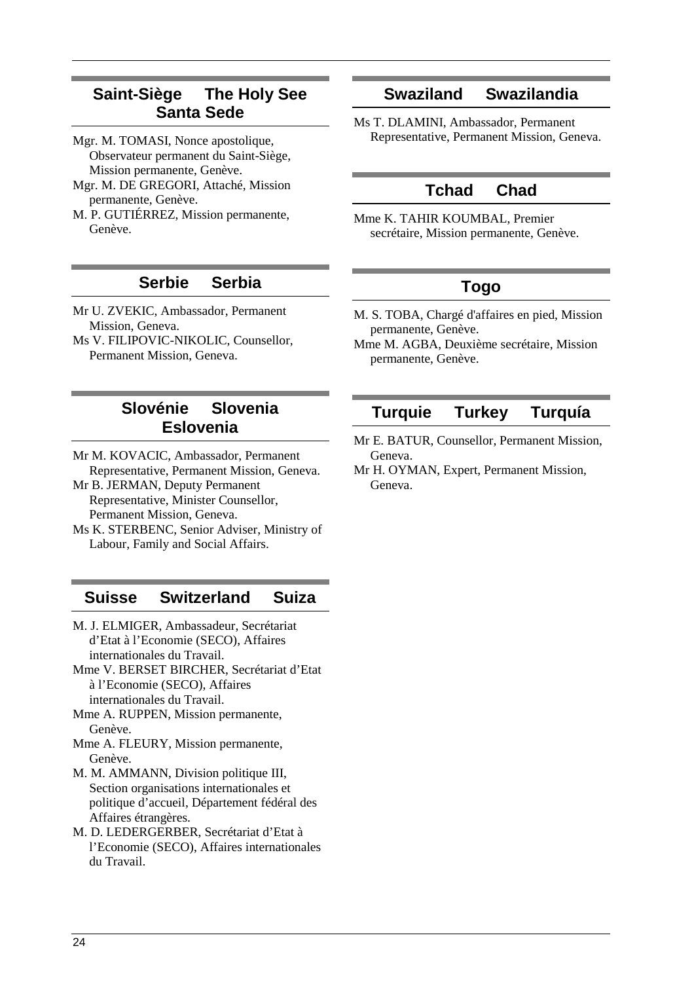# **Saint-Siège The Holy See Santa Sede**

- Mgr. M. TOMASI, Nonce apostolique, Observateur permanent du Saint-Siège, Mission permanente, Genève.
- Mgr. M. DE GREGORI, Attaché, Mission permanente, Genève.
- M. P. GUTIÉRREZ, Mission permanente, Genève.

# **Serbie Serbia**

- Mr U. ZVEKIC, Ambassador, Permanent Mission, Geneva.
- Ms V. FILIPOVIC-NIKOLIC, Counsellor, Permanent Mission, Geneva.

## **Slovénie Slovenia Eslovenia**

- Mr M. KOVACIC, Ambassador, Permanent Representative, Permanent Mission, Geneva.
- Mr B. JERMAN, Deputy Permanent Representative, Minister Counsellor, Permanent Mission, Geneva.
- Ms K. STERBENC, Senior Adviser, Ministry of Labour, Family and Social Affairs.

# **Suisse Switzerland Suiza**

- M. J. ELMIGER, Ambassadeur, Secrétariat d'Etat à l'Economie (SECO), Affaires internationales du Travail.
- Mme V. BERSET BIRCHER, Secrétariat d'Etat à l'Economie (SECO), Affaires internationales du Travail.
- Mme A. RUPPEN, Mission permanente, Genève.
- Mme A. FLEURY, Mission permanente, Genève.
- M. M. AMMANN, Division politique III, Section organisations internationales et politique d'accueil, Département fédéral des Affaires étrangères.
- M. D. LEDERGERBER, Secrétariat d'Etat à l'Economie (SECO), Affaires internationales du Travail.

# **Swaziland Swazilandia**

Ms T. DLAMINI, Ambassador, Permanent Representative, Permanent Mission, Geneva.

# **Tchad Chad**

Mme K. TAHIR KOUMBAL, Premier secrétaire, Mission permanente, Genève.

# **Togo**

- M. S. TOBA, Chargé d'affaires en pied, Mission permanente, Genève.
- Mme M. AGBA, Deuxième secrétaire, Mission permanente, Genève.

# **Turquie Turkey Turquía**

- Mr E. BATUR, Counsellor, Permanent Mission, Geneva.
- Mr H. OYMAN, Expert, Permanent Mission, Geneva.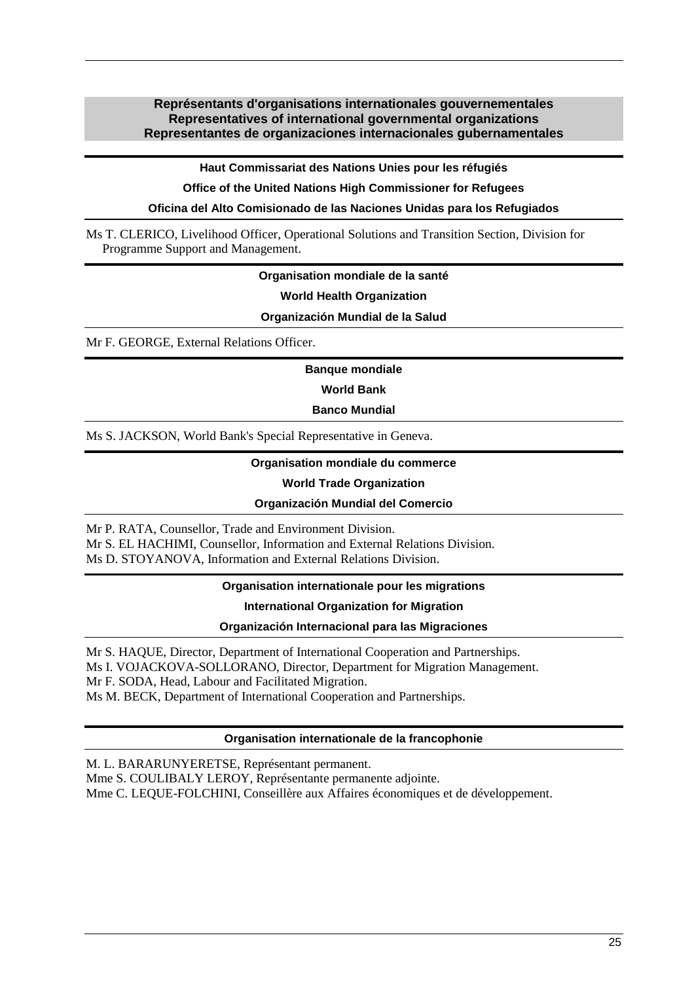### **Représentants d'organisations internationales gouvernementales Representatives of international governmental organizations Representantes de organizaciones internacionales gubernamentales**

**Haut Commissariat des Nations Unies pour les réfugiés** 

**Office of the United Nations High Commissioner for Refugees** 

**Oficina del Alto Comisionado de las Naciones Unidas para los Refugiados** 

Ms T. CLERICO, Livelihood Officer, Operational Solutions and Transition Section, Division for Programme Support and Management.

### **Organisation mondiale de la santé**

**World Health Organization** 

**Organización Mundial de la Salud** 

Mr F. GEORGE, External Relations Officer.

**Banque mondiale** 

**World Bank** 

**Banco Mundial** 

Ms S. JACKSON, World Bank's Special Representative in Geneva.

### **Organisation mondiale du commerce**

### **World Trade Organization**

### **Organización Mundial del Comercio**

Mr P. RATA, Counsellor, Trade and Environment Division. Mr S. EL HACHIMI, Counsellor, Information and External Relations Division. Ms D. STOYANOVA, Information and External Relations Division.

### **Organisation internationale pour les migrations**

### **International Organization for Migration**

**Organización Internacional para las Migraciones** 

Mr S. HAQUE, Director, Department of International Cooperation and Partnerships. Ms I. VOJACKOVA-SOLLORANO, Director, Department for Migration Management. Mr F. SODA, Head, Labour and Facilitated Migration. Ms M. BECK, Department of International Cooperation and Partnerships.

### **Organisation internationale de la francophonie**

M. L. BARARUNYERETSE, Représentant permanent.

Mme S. COULIBALY LEROY, Représentante permanente adjointe.

Mme C. LEQUE-FOLCHINI, Conseillère aux Affaires économiques et de développement.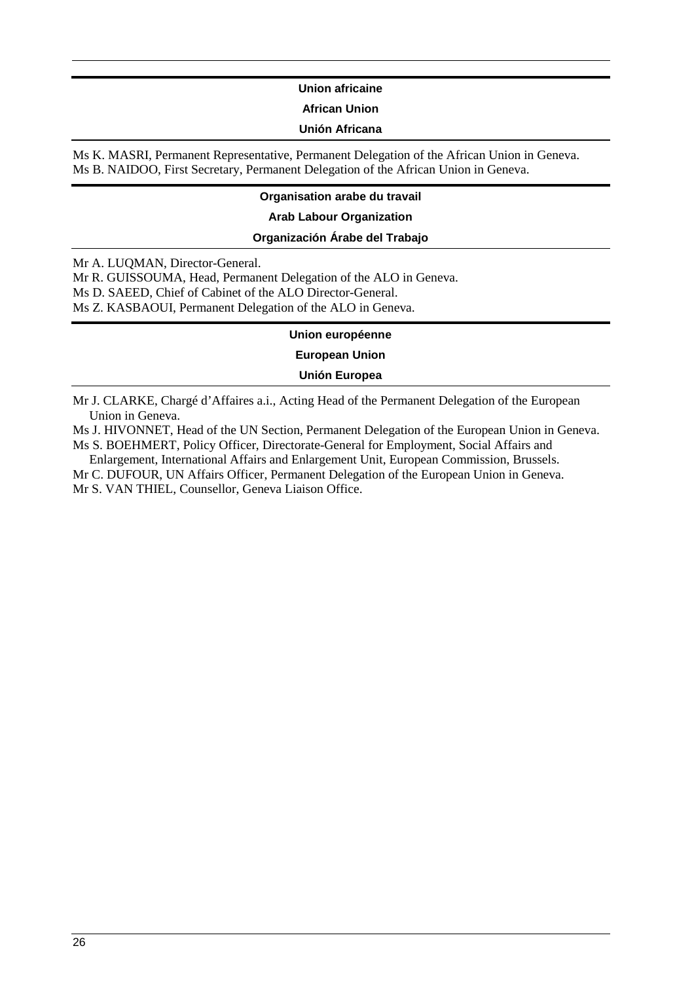### **Union africaine**

### **African Union**

### **Unión Africana**

Ms K. MASRI, Permanent Representative, Permanent Delegation of the African Union in Geneva. Ms B. NAIDOO, First Secretary, Permanent Delegation of the African Union in Geneva.

### **Organisation arabe du travail**

### **Arab Labour Organization**

### **Organización Árabe del Trabajo**

Mr A. LUQMAN, Director-General.

Mr R. GUISSOUMA, Head, Permanent Delegation of the ALO in Geneva.

Ms D. SAEED, Chief of Cabinet of the ALO Director-General.

Ms Z. KASBAOUI, Permanent Delegation of the ALO in Geneva.

### **Union européenne**

**European Union** 

**Unión Europea** 

Mr J. CLARKE, Chargé d'Affaires a.i., Acting Head of the Permanent Delegation of the European Union in Geneva.

Ms J. HIVONNET, Head of the UN Section, Permanent Delegation of the European Union in Geneva. Ms S. BOEHMERT, Policy Officer, Directorate-General for Employment, Social Affairs and

Enlargement, International Affairs and Enlargement Unit, European Commission, Brussels.

Mr C. DUFOUR, UN Affairs Officer, Permanent Delegation of the European Union in Geneva. Mr S. VAN THIEL, Counsellor, Geneva Liaison Office.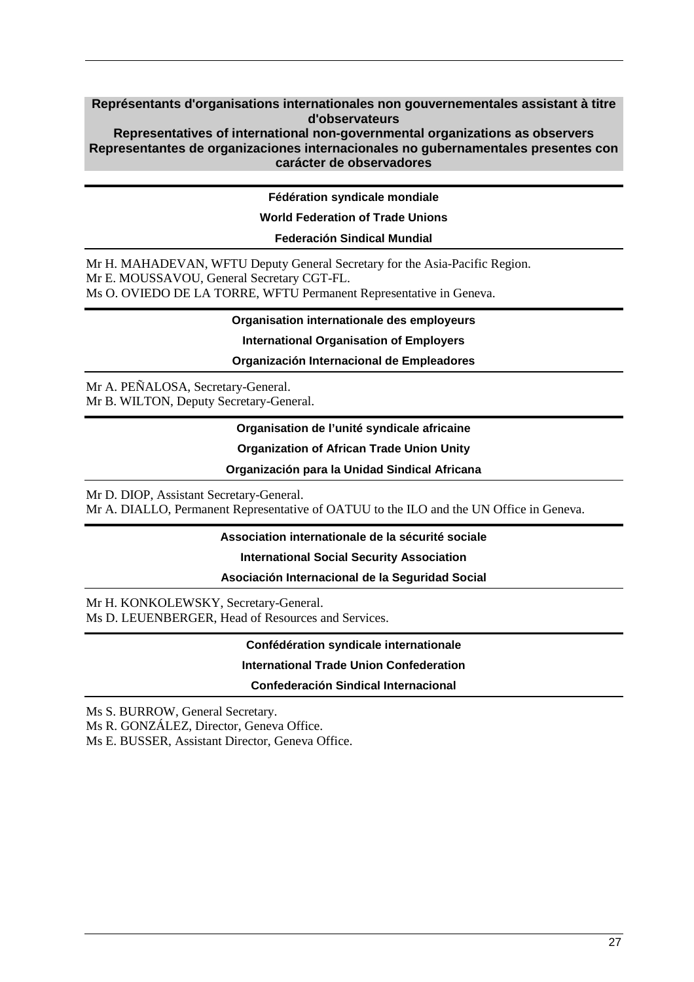### **Représentants d'organisations internationales non gouvernementales assistant à titre d'observateurs**

**Representatives of international non-governmental organizations as observers Representantes de organizaciones internacionales no gubernamentales presentes con carácter de observadores** 

### **Fédération syndicale mondiale**

### **World Federation of Trade Unions**

### **Federación Sindical Mundial**

Mr H. MAHADEVAN, WFTU Deputy General Secretary for the Asia-Pacific Region. Mr E. MOUSSAVOU, General Secretary CGT-FL. Ms O. OVIEDO DE LA TORRE, WFTU Permanent Representative in Geneva.

### **Organisation internationale des employeurs**

#### **International Organisation of Employers**

**Organización Internacional de Empleadores** 

Mr A. PEÑALOSA, Secretary-General. Mr B. WILTON, Deputy Secretary-General.

### **Organisation de l'unité syndicale africaine**

**Organization of African Trade Union Unity** 

### **Organización para la Unidad Sindical Africana**

Mr D. DIOP, Assistant Secretary-General.

Mr A. DIALLO, Permanent Representative of OATUU to the ILO and the UN Office in Geneva.

### **Association internationale de la sécurité sociale**

**International Social Security Association** 

### **Asociación Internacional de la Seguridad Social**

Mr H. KONKOLEWSKY, Secretary-General. Ms D. LEUENBERGER, Head of Resources and Services.

### **Confédération syndicale internationale**

### **International Trade Union Confederation**

### **Confederación Sindical Internacional**

Ms S. BURROW, General Secretary.

Ms R. GONZÁLEZ, Director, Geneva Office.

Ms E. BUSSER, Assistant Director, Geneva Office.